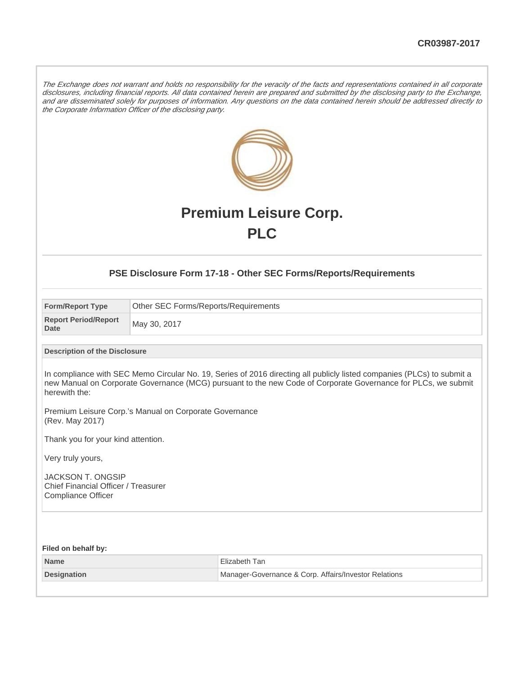The Exchange does not warrant and holds no responsibility for the veracity of the facts and representations contained in all corporate disclosures, including financial reports. All data contained herein are prepared and submitted by the disclosing party to the Exchange, and are disseminated solely for purposes of information. Any questions on the data contained herein should be addressed directly to the Corporate Information Officer of the disclosing party.



# **Premium Leisure Corp. PLC**

#### **PSE Disclosure Form 17-18 - Other SEC Forms/Reports/Requirements**

| <b>Form/Report Type</b>             | Other SEC Forms/Reports/Requirements |
|-------------------------------------|--------------------------------------|
| <b>Report Period/Report</b><br>Date | May 30, 2017                         |

#### **Description of the Disclosure**

In compliance with SEC Memo Circular No. 19, Series of 2016 directing all publicly listed companies (PLCs) to submit a new Manual on Corporate Governance (MCG) pursuant to the new Code of Corporate Governance for PLCs, we submit herewith the:

Premium Leisure Corp.'s Manual on Corporate Governance (Rev. May 2017)

Thank you for your kind attention.

Very truly yours,

JACKSON T. ONGSIP Chief Financial Officer / Treasurer Compliance Officer

**Filed on behalf by: Name** Elizabeth Tan **Designation** Manager-Governance & Corp. Affairs/Investor Relations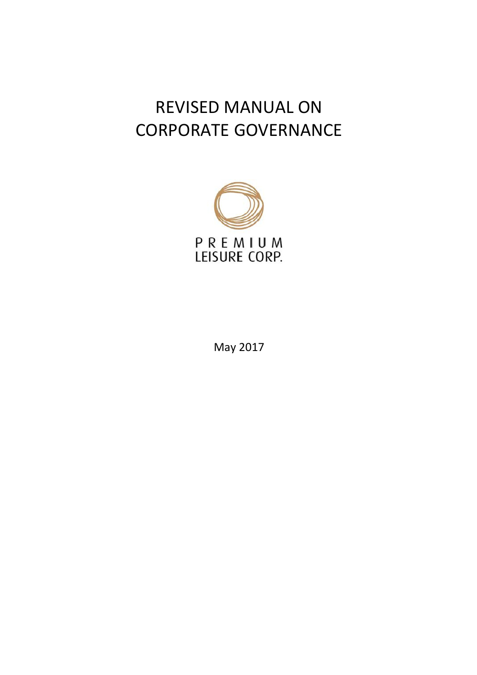# REVISED MANUAL ON CORPORATE GOVERNANCE



May 2017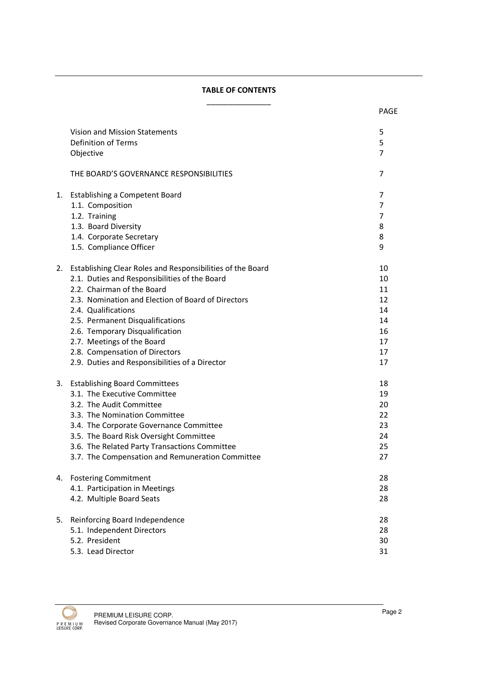#### TABLE OF CONTENTS \_\_\_\_\_\_\_\_\_\_\_\_\_\_\_

|    |                                                               | <b>PAGE</b>    |
|----|---------------------------------------------------------------|----------------|
|    | Vision and Mission Statements                                 | 5              |
|    | Definition of Terms                                           | 5              |
|    | Objective                                                     | $\overline{7}$ |
|    |                                                               |                |
|    | THE BOARD'S GOVERNANCE RESPONSIBILITIES                       | 7              |
| 1. | <b>Establishing a Competent Board</b>                         | 7              |
|    | 1.1. Composition                                              | 7              |
|    | 1.2. Training                                                 | 7              |
|    | 1.3. Board Diversity                                          | 8              |
|    | 1.4. Corporate Secretary                                      | 8              |
|    | 1.5. Compliance Officer                                       | 9              |
|    | 2. Establishing Clear Roles and Responsibilities of the Board | 10             |
|    | 2.1. Duties and Responsibilities of the Board                 | 10             |
|    | 2.2. Chairman of the Board                                    | 11             |
|    | 2.3. Nomination and Election of Board of Directors            | 12             |
|    | 2.4. Qualifications                                           | 14             |
|    | 2.5. Permanent Disqualifications                              | 14             |
|    | 2.6. Temporary Disqualification                               | 16             |
|    | 2.7. Meetings of the Board                                    | 17             |
|    | 2.8. Compensation of Directors                                | 17             |
|    | 2.9. Duties and Responsibilities of a Director                | 17             |
|    | 3. Establishing Board Committees                              | 18             |
|    | 3.1. The Executive Committee                                  | 19             |
|    | 3.2. The Audit Committee                                      | 20             |
|    | 3.3. The Nomination Committee                                 | 22             |
|    | 3.4. The Corporate Governance Committee                       | 23             |
|    | 3.5. The Board Risk Oversight Committee                       | 24             |
|    | 3.6. The Related Party Transactions Committee                 | 25             |
|    | 3.7. The Compensation and Remuneration Committee              | 27             |
|    | 4. Fostering Commitment                                       | 28             |
|    | 4.1. Participation in Meetings                                | 28             |
|    | 4.2. Multiple Board Seats                                     | 28             |
| 5. | Reinforcing Board Independence                                | 28             |
|    | 5.1. Independent Directors                                    | 28             |
|    | 5.2. President                                                | 30             |
|    | 5.3. Lead Director                                            | 31             |

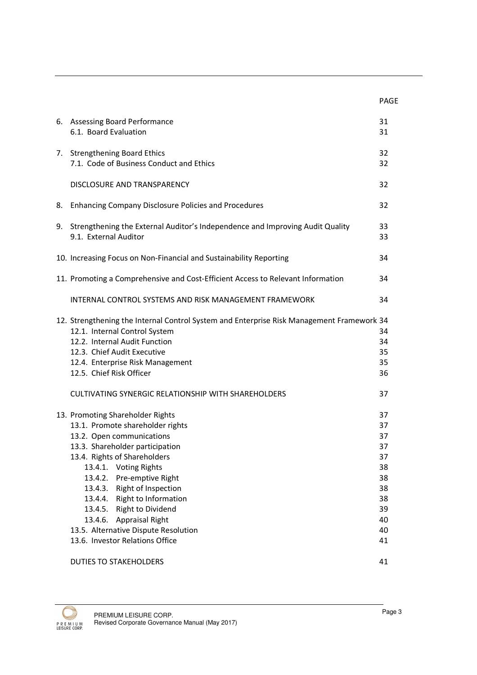|                                                                                                                                                                                                                                                                                                                                                                                                                                                                                         | PAGE                                                                             |
|-----------------------------------------------------------------------------------------------------------------------------------------------------------------------------------------------------------------------------------------------------------------------------------------------------------------------------------------------------------------------------------------------------------------------------------------------------------------------------------------|----------------------------------------------------------------------------------|
| 6. Assessing Board Performance<br>6.1. Board Evaluation                                                                                                                                                                                                                                                                                                                                                                                                                                 | 31<br>31                                                                         |
| 7. Strengthening Board Ethics<br>7.1. Code of Business Conduct and Ethics                                                                                                                                                                                                                                                                                                                                                                                                               | 32<br>32                                                                         |
| DISCLOSURE AND TRANSPARENCY                                                                                                                                                                                                                                                                                                                                                                                                                                                             | 32                                                                               |
| <b>Enhancing Company Disclosure Policies and Procedures</b>                                                                                                                                                                                                                                                                                                                                                                                                                             | 32                                                                               |
| 9. Strengthening the External Auditor's Independence and Improving Audit Quality<br>9.1. External Auditor                                                                                                                                                                                                                                                                                                                                                                               | 33<br>33                                                                         |
| 10. Increasing Focus on Non-Financial and Sustainability Reporting                                                                                                                                                                                                                                                                                                                                                                                                                      | 34                                                                               |
| 11. Promoting a Comprehensive and Cost-Efficient Access to Relevant Information                                                                                                                                                                                                                                                                                                                                                                                                         | 34                                                                               |
| <b>INTERNAL CONTROL SYSTEMS AND RISK MANAGEMENT FRAMEWORK</b>                                                                                                                                                                                                                                                                                                                                                                                                                           | 34                                                                               |
| 12. Strengthening the Internal Control System and Enterprise Risk Management Framework 34<br>12.1. Internal Control System<br>12.2. Internal Audit Function<br>12.3. Chief Audit Executive<br>12.4. Enterprise Risk Management<br>12.5. Chief Risk Officer<br>CULTIVATING SYNERGIC RELATIONSHIP WITH SHAREHOLDERS                                                                                                                                                                       | 34<br>34<br>35<br>35<br>36<br>37                                                 |
| 13. Promoting Shareholder Rights<br>13.1. Promote shareholder rights<br>13.2. Open communications<br>13.3. Shareholder participation<br>13.4. Rights of Shareholders<br>13.4.1.<br><b>Voting Rights</b><br>13.4.2.<br>Pre-emptive Right<br>13.4.3. Right of Inspection<br>13.4.4. Right to Information<br>Right to Dividend<br>13.4.5.<br><b>Appraisal Right</b><br>13.4.6.<br>13.5. Alternative Dispute Resolution<br>13.6. Investor Relations Office<br><b>DUTIES TO STAKEHOLDERS</b> | 37<br>37<br>37<br>37<br>37<br>38<br>38<br>38<br>38<br>39<br>40<br>40<br>41<br>41 |
|                                                                                                                                                                                                                                                                                                                                                                                                                                                                                         |                                                                                  |

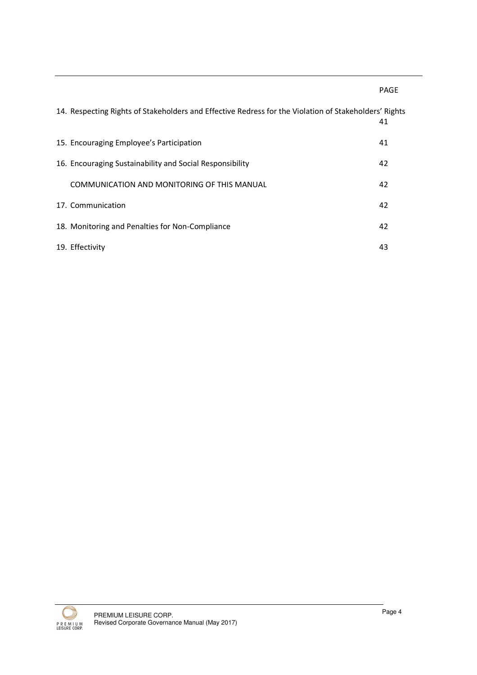PAGE

| 14. Respecting Rights of Stakeholders and Effective Redress for the Violation of Stakeholders' Rights | 41 |
|-------------------------------------------------------------------------------------------------------|----|
| 15. Encouraging Employee's Participation                                                              | 41 |
| 16. Encouraging Sustainability and Social Responsibility                                              | 42 |
| COMMUNICATION AND MONITORING OF THIS MANUAL                                                           | 42 |
| 17. Communication                                                                                     | 42 |
| 18. Monitoring and Penalties for Non-Compliance                                                       | 42 |
| 19. Effectivity                                                                                       | 43 |

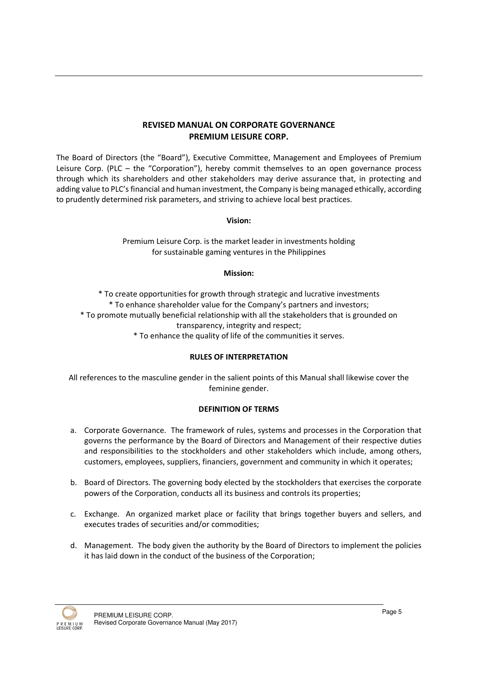# REVISED MANUAL ON CORPORATE GOVERNANCE PREMIUM LEISURE CORP.

The Board of Directors (the "Board"), Executive Committee, Management and Employees of Premium Leisure Corp. (PLC – the "Corporation"), hereby commit themselves to an open governance process through which its shareholders and other stakeholders may derive assurance that, in protecting and adding value to PLC's financial and human investment, the Company is being managed ethically, according to prudently determined risk parameters, and striving to achieve local best practices.

#### Vision:

Premium Leisure Corp. is the market leader in investments holding for sustainable gaming ventures in the Philippines

#### Mission:

\* To create opportunities for growth through strategic and lucrative investments \* To enhance shareholder value for the Company's partners and investors;

\* To promote mutually beneficial relationship with all the stakeholders that is grounded on transparency, integrity and respect;

\* To enhance the quality of life of the communities it serves.

#### RULES OF INTERPRETATION

All references to the masculine gender in the salient points of this Manual shall likewise cover the feminine gender.

#### DEFINITION OF TERMS

- a. Corporate Governance. The framework of rules, systems and processes in the Corporation that governs the performance by the Board of Directors and Management of their respective duties and responsibilities to the stockholders and other stakeholders which include, among others, customers, employees, suppliers, financiers, government and community in which it operates;
- b. Board of Directors. The governing body elected by the stockholders that exercises the corporate powers of the Corporation, conducts all its business and controls its properties;
- c. Exchange. An organized market place or facility that brings together buyers and sellers, and executes trades of securities and/or commodities;
- d. Management. The body given the authority by the Board of Directors to implement the policies it has laid down in the conduct of the business of the Corporation;

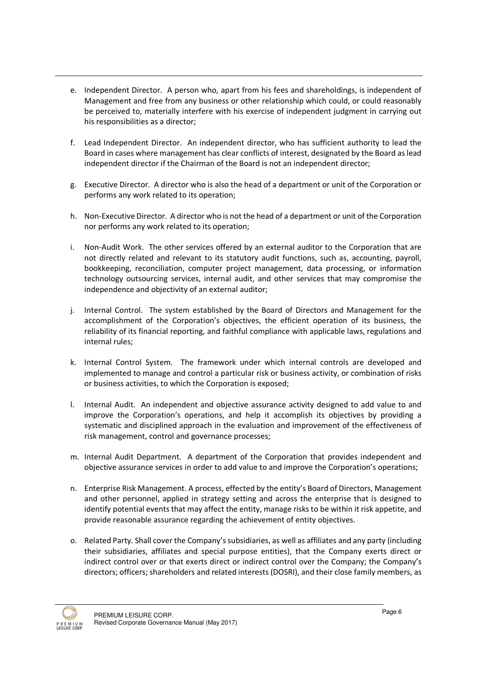- e. Independent Director. A person who, apart from his fees and shareholdings, is independent of Management and free from any business or other relationship which could, or could reasonably be perceived to, materially interfere with his exercise of independent judgment in carrying out his responsibilities as a director;
- f. Lead Independent Director. An independent director, who has sufficient authority to lead the Board in cases where management has clear conflicts of interest, designated by the Board as lead independent director if the Chairman of the Board is not an independent director;
- g. Executive Director. A director who is also the head of a department or unit of the Corporation or performs any work related to its operation;
- h. Non-Executive Director. A director who is not the head of a department or unit of the Corporation nor performs any work related to its operation;
- i. Non-Audit Work. The other services offered by an external auditor to the Corporation that are not directly related and relevant to its statutory audit functions, such as, accounting, payroll, bookkeeping, reconciliation, computer project management, data processing, or information technology outsourcing services, internal audit, and other services that may compromise the independence and objectivity of an external auditor;
- j. Internal Control. The system established by the Board of Directors and Management for the accomplishment of the Corporation's objectives, the efficient operation of its business, the reliability of its financial reporting, and faithful compliance with applicable laws, regulations and internal rules;
- k. Internal Control System. The framework under which internal controls are developed and implemented to manage and control a particular risk or business activity, or combination of risks or business activities, to which the Corporation is exposed;
- l. Internal Audit. An independent and objective assurance activity designed to add value to and improve the Corporation's operations, and help it accomplish its objectives by providing a systematic and disciplined approach in the evaluation and improvement of the effectiveness of risk management, control and governance processes;
- m. Internal Audit Department. A department of the Corporation that provides independent and objective assurance services in order to add value to and improve the Corporation's operations;
- n. Enterprise Risk Management. A process, effected by the entity's Board of Directors, Management and other personnel, applied in strategy setting and across the enterprise that is designed to identify potential events that may affect the entity, manage risks to be within it risk appetite, and provide reasonable assurance regarding the achievement of entity objectives.
- o. Related Party. Shall cover the Company's subsidiaries, as well as affiliates and any party (including their subsidiaries, affiliates and special purpose entities), that the Company exerts direct or indirect control over or that exerts direct or indirect control over the Company; the Company's directors; officers; shareholders and related interests (DOSRI), and their close family members, as

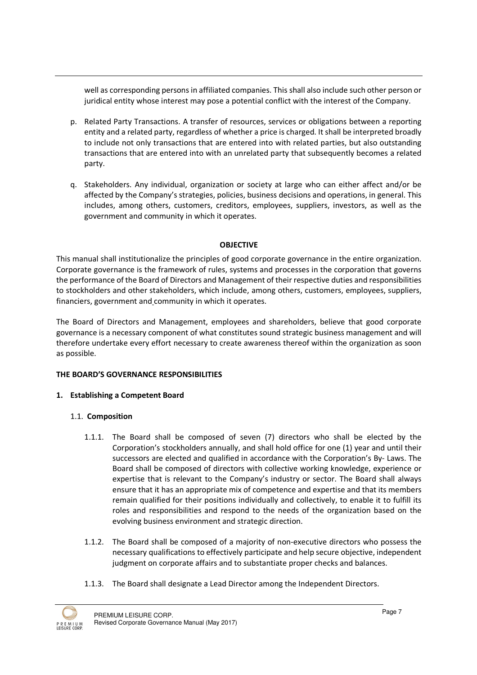well as corresponding persons in affiliated companies. This shall also include such other person or juridical entity whose interest may pose a potential conflict with the interest of the Company.

- p. Related Party Transactions. A transfer of resources, services or obligations between a reporting entity and a related party, regardless of whether a price is charged. It shall be interpreted broadly to include not only transactions that are entered into with related parties, but also outstanding transactions that are entered into with an unrelated party that subsequently becomes a related party.
- q. Stakeholders. Any individual, organization or society at large who can either affect and/or be affected by the Company's strategies, policies, business decisions and operations, in general. This includes, among others, customers, creditors, employees, suppliers, investors, as well as the government and community in which it operates.

# **OBJECTIVE**

This manual shall institutionalize the principles of good corporate governance in the entire organization. Corporate governance is the framework of rules, systems and processes in the corporation that governs the performance of the Board of Directors and Management of their respective duties and responsibilities to stockholders and other stakeholders, which include, among others, customers, employees, suppliers, financiers, government and community in which it operates.

The Board of Directors and Management, employees and shareholders, believe that good corporate governance is a necessary component of what constitutes sound strategic business management and will therefore undertake every effort necessary to create awareness thereof within the organization as soon as possible.

# THE BOARD'S GOVERNANCE RESPONSIBILITIES

# 1. Establishing a Competent Board

# 1.1. Composition

- 1.1.1. The Board shall be composed of seven (7) directors who shall be elected by the Corporation's stockholders annually, and shall hold office for one (1) year and until their successors are elected and qualified in accordance with the Corporation's By- Laws. The Board shall be composed of directors with collective working knowledge, experience or expertise that is relevant to the Company's industry or sector. The Board shall always ensure that it has an appropriate mix of competence and expertise and that its members remain qualified for their positions individually and collectively, to enable it to fulfill its roles and responsibilities and respond to the needs of the organization based on the evolving business environment and strategic direction.
- 1.1.2. The Board shall be composed of a majority of non-executive directors who possess the necessary qualifications to effectively participate and help secure objective, independent judgment on corporate affairs and to substantiate proper checks and balances.
- 1.1.3. The Board shall designate a Lead Director among the Independent Directors.

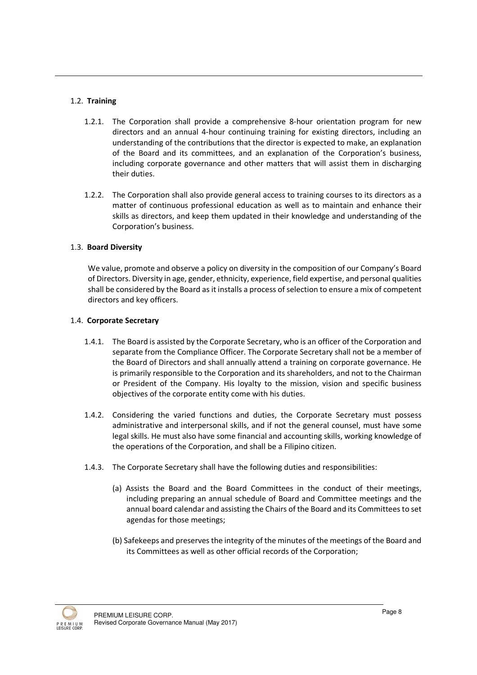# 1.2. Training

- 1.2.1. The Corporation shall provide a comprehensive 8-hour orientation program for new directors and an annual 4-hour continuing training for existing directors, including an understanding of the contributions that the director is expected to make, an explanation of the Board and its committees, and an explanation of the Corporation's business, including corporate governance and other matters that will assist them in discharging their duties.
- 1.2.2. The Corporation shall also provide general access to training courses to its directors as a matter of continuous professional education as well as to maintain and enhance their skills as directors, and keep them updated in their knowledge and understanding of the Corporation's business.

# 1.3. Board Diversity

We value, promote and observe a policy on diversity in the composition of our Company's Board of Directors. Diversity in age, gender, ethnicity, experience, field expertise, and personal qualities shall be considered by the Board as it installs a process of selection to ensure a mix of competent directors and key officers.

# 1.4. Corporate Secretary

- 1.4.1. The Board is assisted by the Corporate Secretary, who is an officer of the Corporation and separate from the Compliance Officer. The Corporate Secretary shall not be a member of the Board of Directors and shall annually attend a training on corporate governance. He is primarily responsible to the Corporation and its shareholders, and not to the Chairman or President of the Company. His loyalty to the mission, vision and specific business objectives of the corporate entity come with his duties.
- 1.4.2. Considering the varied functions and duties, the Corporate Secretary must possess administrative and interpersonal skills, and if not the general counsel, must have some legal skills. He must also have some financial and accounting skills, working knowledge of the operations of the Corporation, and shall be a Filipino citizen.
- 1.4.3. The Corporate Secretary shall have the following duties and responsibilities:
	- (a) Assists the Board and the Board Committees in the conduct of their meetings, including preparing an annual schedule of Board and Committee meetings and the annual board calendar and assisting the Chairs of the Board and its Committees to set agendas for those meetings;
	- (b) Safekeeps and preserves the integrity of the minutes of the meetings of the Board and its Committees as well as other official records of the Corporation;

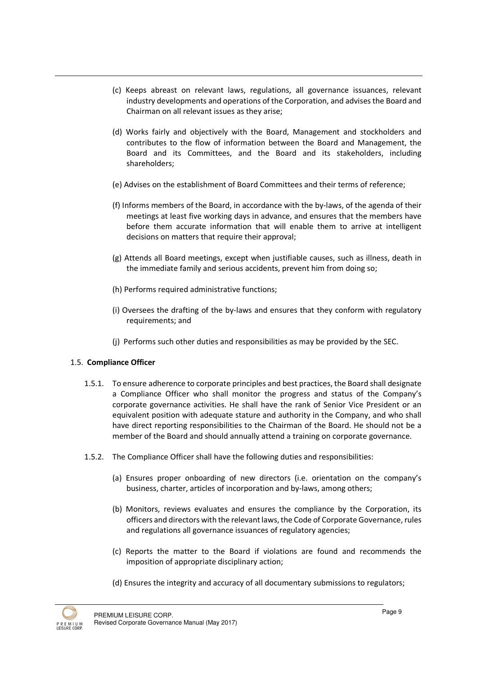- (c) Keeps abreast on relevant laws, regulations, all governance issuances, relevant industry developments and operations of the Corporation, and advises the Board and Chairman on all relevant issues as they arise;
- (d) Works fairly and objectively with the Board, Management and stockholders and contributes to the flow of information between the Board and Management, the Board and its Committees, and the Board and its stakeholders, including shareholders;
- (e) Advises on the establishment of Board Committees and their terms of reference;
- (f) Informs members of the Board, in accordance with the by-laws, of the agenda of their meetings at least five working days in advance, and ensures that the members have before them accurate information that will enable them to arrive at intelligent decisions on matters that require their approval;
- (g) Attends all Board meetings, except when justifiable causes, such as illness, death in the immediate family and serious accidents, prevent him from doing so;
- (h) Performs required administrative functions;
- (i) Oversees the drafting of the by-laws and ensures that they conform with regulatory requirements; and
- (j) Performs such other duties and responsibilities as may be provided by the SEC.

# 1.5. Compliance Officer

- 1.5.1. To ensure adherence to corporate principles and best practices, the Board shall designate a Compliance Officer who shall monitor the progress and status of the Company's corporate governance activities. He shall have the rank of Senior Vice President or an equivalent position with adequate stature and authority in the Company, and who shall have direct reporting responsibilities to the Chairman of the Board. He should not be a member of the Board and should annually attend a training on corporate governance.
- 1.5.2. The Compliance Officer shall have the following duties and responsibilities:
	- (a) Ensures proper onboarding of new directors (i.e. orientation on the company's business, charter, articles of incorporation and by-laws, among others;
	- (b) Monitors, reviews evaluates and ensures the compliance by the Corporation, its officers and directors with the relevant laws, the Code of Corporate Governance, rules and regulations all governance issuances of regulatory agencies;
	- (c) Reports the matter to the Board if violations are found and recommends the imposition of appropriate disciplinary action;
	- (d) Ensures the integrity and accuracy of all documentary submissions to regulators;

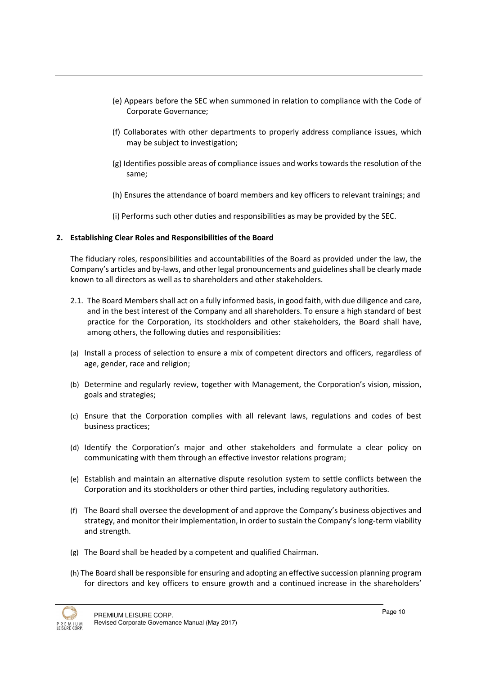- (e) Appears before the SEC when summoned in relation to compliance with the Code of Corporate Governance;
- (f) Collaborates with other departments to properly address compliance issues, which may be subject to investigation;
- (g) Identifies possible areas of compliance issues and works towards the resolution of the same;
- (h) Ensures the attendance of board members and key officers to relevant trainings; and
- (i) Performs such other duties and responsibilities as may be provided by the SEC.

#### 2. Establishing Clear Roles and Responsibilities of the Board

The fiduciary roles, responsibilities and accountabilities of the Board as provided under the law, the Company's articles and by-laws, and other legal pronouncements and guidelines shall be clearly made known to all directors as well as to shareholders and other stakeholders.

- 2.1. The Board Members shall act on a fully informed basis, in good faith, with due diligence and care, and in the best interest of the Company and all shareholders. To ensure a high standard of best practice for the Corporation, its stockholders and other stakeholders, the Board shall have, among others, the following duties and responsibilities:
- (a) Install a process of selection to ensure a mix of competent directors and officers, regardless of age, gender, race and religion;
- (b) Determine and regularly review, together with Management, the Corporation's vision, mission, goals and strategies;
- (c) Ensure that the Corporation complies with all relevant laws, regulations and codes of best business practices;
- (d) Identify the Corporation's major and other stakeholders and formulate a clear policy on communicating with them through an effective investor relations program;
- (e) Establish and maintain an alternative dispute resolution system to settle conflicts between the Corporation and its stockholders or other third parties, including regulatory authorities.
- (f) The Board shall oversee the development of and approve the Company's business objectives and strategy, and monitor their implementation, in order to sustain the Company's long-term viability and strength.
- (g) The Board shall be headed by a competent and qualified Chairman.
- (h) The Board shall be responsible for ensuring and adopting an effective succession planning program for directors and key officers to ensure growth and a continued increase in the shareholders'

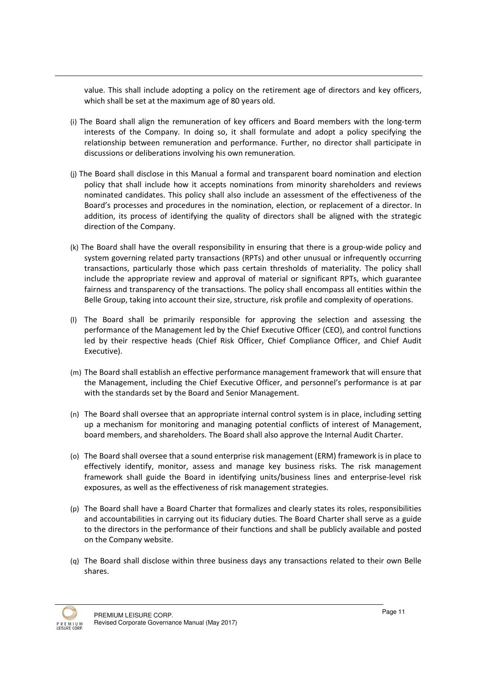value. This shall include adopting a policy on the retirement age of directors and key officers, which shall be set at the maximum age of 80 years old.

- (i) The Board shall align the remuneration of key officers and Board members with the long-term interests of the Company. In doing so, it shall formulate and adopt a policy specifying the relationship between remuneration and performance. Further, no director shall participate in discussions or deliberations involving his own remuneration.
- (j) The Board shall disclose in this Manual a formal and transparent board nomination and election policy that shall include how it accepts nominations from minority shareholders and reviews nominated candidates. This policy shall also include an assessment of the effectiveness of the Board's processes and procedures in the nomination, election, or replacement of a director. In addition, its process of identifying the quality of directors shall be aligned with the strategic direction of the Company.
- (k) The Board shall have the overall responsibility in ensuring that there is a group-wide policy and system governing related party transactions (RPTs) and other unusual or infrequently occurring transactions, particularly those which pass certain thresholds of materiality. The policy shall include the appropriate review and approval of material or significant RPTs, which guarantee fairness and transparency of the transactions. The policy shall encompass all entities within the Belle Group, taking into account their size, structure, risk profile and complexity of operations.
- (l) The Board shall be primarily responsible for approving the selection and assessing the performance of the Management led by the Chief Executive Officer (CEO), and control functions led by their respective heads (Chief Risk Officer, Chief Compliance Officer, and Chief Audit Executive).
- (m) The Board shall establish an effective performance management framework that will ensure that the Management, including the Chief Executive Officer, and personnel's performance is at par with the standards set by the Board and Senior Management.
- (n) The Board shall oversee that an appropriate internal control system is in place, including setting up a mechanism for monitoring and managing potential conflicts of interest of Management, board members, and shareholders. The Board shall also approve the Internal Audit Charter.
- (o) The Board shall oversee that a sound enterprise risk management (ERM) framework is in place to effectively identify, monitor, assess and manage key business risks. The risk management framework shall guide the Board in identifying units/business lines and enterprise-level risk exposures, as well as the effectiveness of risk management strategies.
- (p) The Board shall have a Board Charter that formalizes and clearly states its roles, responsibilities and accountabilities in carrying out its fiduciary duties. The Board Charter shall serve as a guide to the directors in the performance of their functions and shall be publicly available and posted on the Company website.
- (q) The Board shall disclose within three business days any transactions related to their own Belle shares.

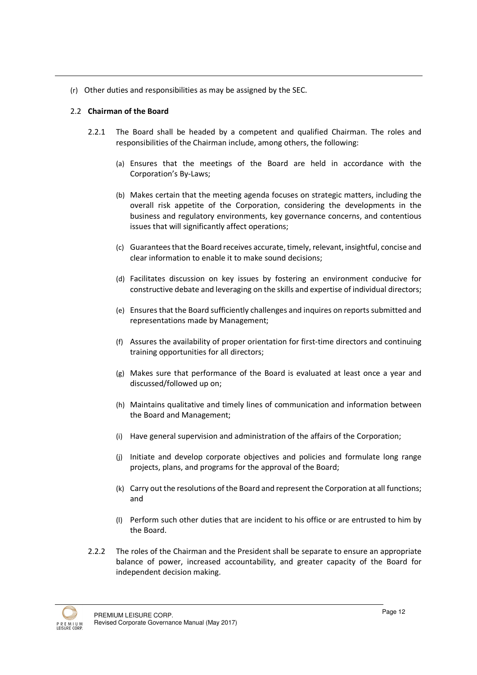(r) Other duties and responsibilities as may be assigned by the SEC.

#### 2.2 Chairman of the Board

- 2.2.1 The Board shall be headed by a competent and qualified Chairman. The roles and responsibilities of the Chairman include, among others, the following:
	- (a) Ensures that the meetings of the Board are held in accordance with the Corporation's By-Laws;
	- (b) Makes certain that the meeting agenda focuses on strategic matters, including the overall risk appetite of the Corporation, considering the developments in the business and regulatory environments, key governance concerns, and contentious issues that will significantly affect operations;
	- (c) Guarantees that the Board receives accurate, timely, relevant, insightful, concise and clear information to enable it to make sound decisions;
	- (d) Facilitates discussion on key issues by fostering an environment conducive for constructive debate and leveraging on the skills and expertise of individual directors;
	- (e) Ensures that the Board sufficiently challenges and inquires on reports submitted and representations made by Management;
	- (f) Assures the availability of proper orientation for first-time directors and continuing training opportunities for all directors;
	- (g) Makes sure that performance of the Board is evaluated at least once a year and discussed/followed up on;
	- (h) Maintains qualitative and timely lines of communication and information between the Board and Management;
	- (i) Have general supervision and administration of the affairs of the Corporation;
	- (j) Initiate and develop corporate objectives and policies and formulate long range projects, plans, and programs for the approval of the Board;
	- (k) Carry out the resolutions of the Board and represent the Corporation at all functions; and
	- (l) Perform such other duties that are incident to his office or are entrusted to him by the Board.
- 2.2.2 The roles of the Chairman and the President shall be separate to ensure an appropriate balance of power, increased accountability, and greater capacity of the Board for independent decision making.

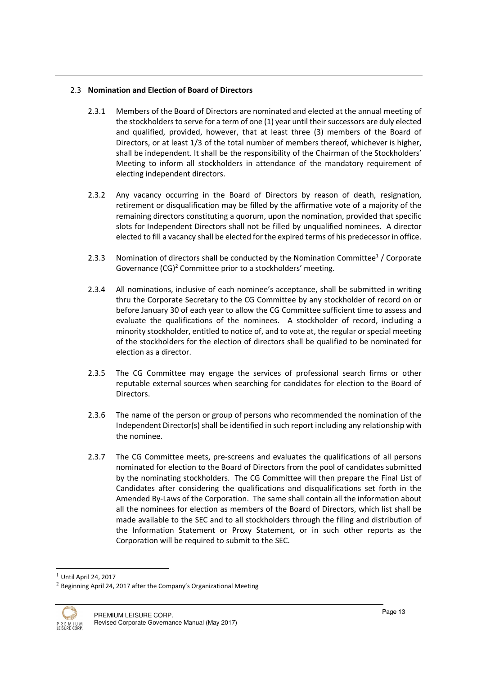#### 2.3 Nomination and Election of Board of Directors

- 2.3.1 Members of the Board of Directors are nominated and elected at the annual meeting of the stockholders to serve for a term of one (1) year until their successors are duly elected and qualified, provided, however, that at least three (3) members of the Board of Directors, or at least 1/3 of the total number of members thereof, whichever is higher, shall be independent. It shall be the responsibility of the Chairman of the Stockholders' Meeting to inform all stockholders in attendance of the mandatory requirement of electing independent directors.
- 2.3.2 Any vacancy occurring in the Board of Directors by reason of death, resignation, retirement or disqualification may be filled by the affirmative vote of a majority of the remaining directors constituting a quorum, upon the nomination, provided that specific slots for Independent Directors shall not be filled by unqualified nominees. A director elected to fill a vacancy shall be elected for the expired terms of his predecessor in office.
- 2.3.3 Nomination of directors shall be conducted by the Nomination Committee<sup>1</sup> / Corporate Governance (CG)<sup>2</sup> Committee prior to a stockholders' meeting.
- 2.3.4 All nominations, inclusive of each nominee's acceptance, shall be submitted in writing thru the Corporate Secretary to the CG Committee by any stockholder of record on or before January 30 of each year to allow the CG Committee sufficient time to assess and evaluate the qualifications of the nominees. A stockholder of record, including a minority stockholder, entitled to notice of, and to vote at, the regular or special meeting of the stockholders for the election of directors shall be qualified to be nominated for election as a director.
- 2.3.5 The CG Committee may engage the services of professional search firms or other reputable external sources when searching for candidates for election to the Board of Directors.
- 2.3.6 The name of the person or group of persons who recommended the nomination of the Independent Director(s) shall be identified in such report including any relationship with the nominee.
- 2.3.7 The CG Committee meets, pre-screens and evaluates the qualifications of all persons nominated for election to the Board of Directors from the pool of candidates submitted by the nominating stockholders. The CG Committee will then prepare the Final List of Candidates after considering the qualifications and disqualifications set forth in the Amended By-Laws of the Corporation. The same shall contain all the information about all the nominees for election as members of the Board of Directors, which list shall be made available to the SEC and to all stockholders through the filing and distribution of the Information Statement or Proxy Statement, or in such other reports as the Corporation will be required to submit to the SEC.

 $2$  Beginning April 24, 2017 after the Company's Organizational Meeting



 $\overline{a}$ 

 $<sup>1</sup>$  Until April 24, 2017</sup>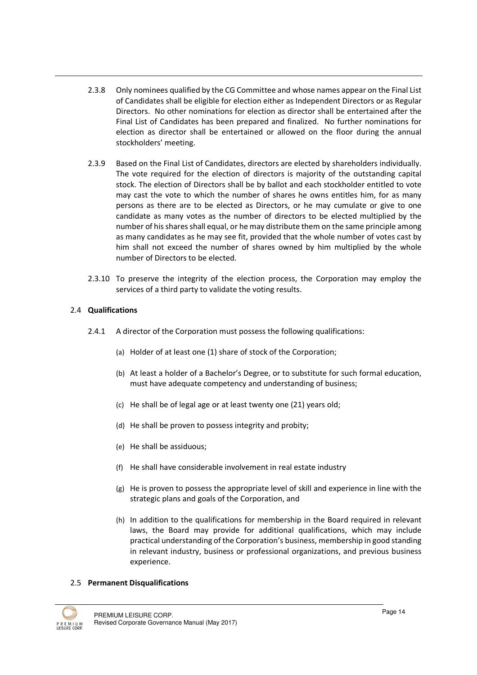- 2.3.8 Only nominees qualified by the CG Committee and whose names appear on the Final List of Candidates shall be eligible for election either as Independent Directors or as Regular Directors. No other nominations for election as director shall be entertained after the Final List of Candidates has been prepared and finalized. No further nominations for election as director shall be entertained or allowed on the floor during the annual stockholders' meeting.
- 2.3.9 Based on the Final List of Candidates, directors are elected by shareholders individually. The vote required for the election of directors is majority of the outstanding capital stock. The election of Directors shall be by ballot and each stockholder entitled to vote may cast the vote to which the number of shares he owns entitles him, for as many persons as there are to be elected as Directors, or he may cumulate or give to one candidate as many votes as the number of directors to be elected multiplied by the number of his shares shall equal, or he may distribute them on the same principle among as many candidates as he may see fit, provided that the whole number of votes cast by him shall not exceed the number of shares owned by him multiplied by the whole number of Directors to be elected.
- 2.3.10 To preserve the integrity of the election process, the Corporation may employ the services of a third party to validate the voting results.

# 2.4 Qualifications

- 2.4.1 A director of the Corporation must possess the following qualifications:
	- (a) Holder of at least one (1) share of stock of the Corporation;
	- (b) At least a holder of a Bachelor's Degree, or to substitute for such formal education, must have adequate competency and understanding of business;
	- (c) He shall be of legal age or at least twenty one (21) years old;
	- (d) He shall be proven to possess integrity and probity;
	- (e) He shall be assiduous;
	- (f) He shall have considerable involvement in real estate industry
	- (g) He is proven to possess the appropriate level of skill and experience in line with the strategic plans and goals of the Corporation, and
	- (h) In addition to the qualifications for membership in the Board required in relevant laws, the Board may provide for additional qualifications, which may include practical understanding of the Corporation's business, membership in good standing in relevant industry, business or professional organizations, and previous business experience.

#### 2.5 Permanent Disqualifications

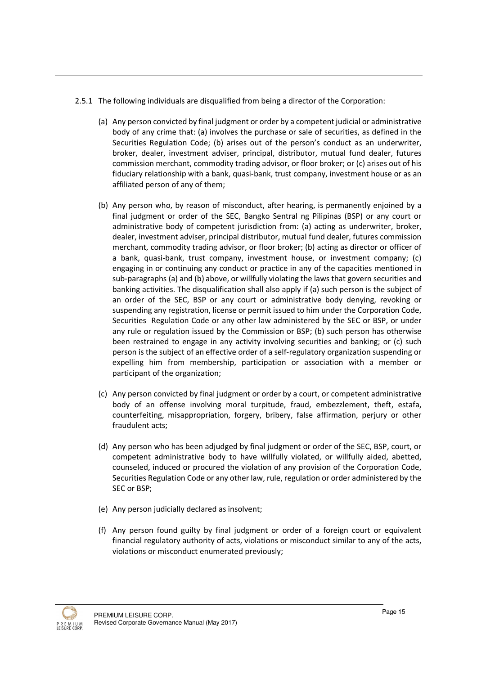- 2.5.1 The following individuals are disqualified from being a director of the Corporation:
	- (a) Any person convicted by final judgment or order by a competent judicial or administrative body of any crime that: (a) involves the purchase or sale of securities, as defined in the Securities Regulation Code; (b) arises out of the person's conduct as an underwriter, broker, dealer, investment adviser, principal, distributor, mutual fund dealer, futures commission merchant, commodity trading advisor, or floor broker; or (c) arises out of his fiduciary relationship with a bank, quasi-bank, trust company, investment house or as an affiliated person of any of them;
	- (b) Any person who, by reason of misconduct, after hearing, is permanently enjoined by a final judgment or order of the SEC, Bangko Sentral ng Pilipinas (BSP) or any court or administrative body of competent jurisdiction from: (a) acting as underwriter, broker, dealer, investment adviser, principal distributor, mutual fund dealer, futures commission merchant, commodity trading advisor, or floor broker; (b) acting as director or officer of a bank, quasi-bank, trust company, investment house, or investment company; (c) engaging in or continuing any conduct or practice in any of the capacities mentioned in sub-paragraphs (a) and (b) above, or willfully violating the laws that govern securities and banking activities. The disqualification shall also apply if (a) such person is the subject of an order of the SEC, BSP or any court or administrative body denying, revoking or suspending any registration, license or permit issued to him under the Corporation Code, Securities Regulation Code or any other law administered by the SEC or BSP, or under any rule or regulation issued by the Commission or BSP; (b) such person has otherwise been restrained to engage in any activity involving securities and banking; or (c) such person is the subject of an effective order of a self-regulatory organization suspending or expelling him from membership, participation or association with a member or participant of the organization;
	- (c) Any person convicted by final judgment or order by a court, or competent administrative body of an offense involving moral turpitude, fraud, embezzlement, theft, estafa, counterfeiting, misappropriation, forgery, bribery, false affirmation, perjury or other fraudulent acts;
	- (d) Any person who has been adjudged by final judgment or order of the SEC, BSP, court, or competent administrative body to have willfully violated, or willfully aided, abetted, counseled, induced or procured the violation of any provision of the Corporation Code, Securities Regulation Code or any other law, rule, regulation or order administered by the SEC or BSP;
	- (e) Any person judicially declared as insolvent;
	- (f) Any person found guilty by final judgment or order of a foreign court or equivalent financial regulatory authority of acts, violations or misconduct similar to any of the acts, violations or misconduct enumerated previously;

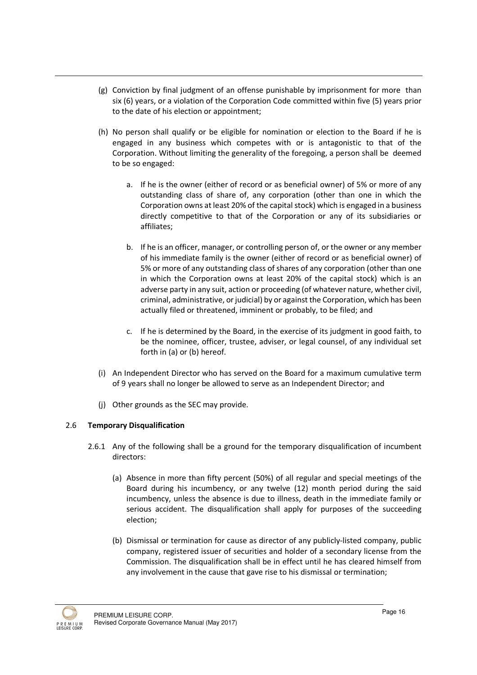- (g) Conviction by final judgment of an offense punishable by imprisonment for more than six (6) years, or a violation of the Corporation Code committed within five (5) years prior to the date of his election or appointment;
- (h) No person shall qualify or be eligible for nomination or election to the Board if he is engaged in any business which competes with or is antagonistic to that of the Corporation. Without limiting the generality of the foregoing, a person shall be deemed to be so engaged:
	- a. If he is the owner (either of record or as beneficial owner) of 5% or more of any outstanding class of share of, any corporation (other than one in which the Corporation owns at least 20% of the capital stock) which is engaged in a business directly competitive to that of the Corporation or any of its subsidiaries or affiliates;
	- b. If he is an officer, manager, or controlling person of, or the owner or any member of his immediate family is the owner (either of record or as beneficial owner) of 5% or more of any outstanding class of shares of any corporation (other than one in which the Corporation owns at least 20% of the capital stock) which is an adverse party in any suit, action or proceeding (of whatever nature, whether civil, criminal, administrative, or judicial) by or against the Corporation, which has been actually filed or threatened, imminent or probably, to be filed; and
	- c. If he is determined by the Board, in the exercise of its judgment in good faith, to be the nominee, officer, trustee, adviser, or legal counsel, of any individual set forth in (a) or (b) hereof.
- (i) An Independent Director who has served on the Board for a maximum cumulative term of 9 years shall no longer be allowed to serve as an Independent Director; and
- (j) Other grounds as the SEC may provide.

# 2.6 Temporary Disqualification

- 2.6.1 Any of the following shall be a ground for the temporary disqualification of incumbent directors:
	- (a) Absence in more than fifty percent (50%) of all regular and special meetings of the Board during his incumbency, or any twelve (12) month period during the said incumbency, unless the absence is due to illness, death in the immediate family or serious accident. The disqualification shall apply for purposes of the succeeding election;
	- (b) Dismissal or termination for cause as director of any publicly-listed company, public company, registered issuer of securities and holder of a secondary license from the Commission. The disqualification shall be in effect until he has cleared himself from any involvement in the cause that gave rise to his dismissal or termination;

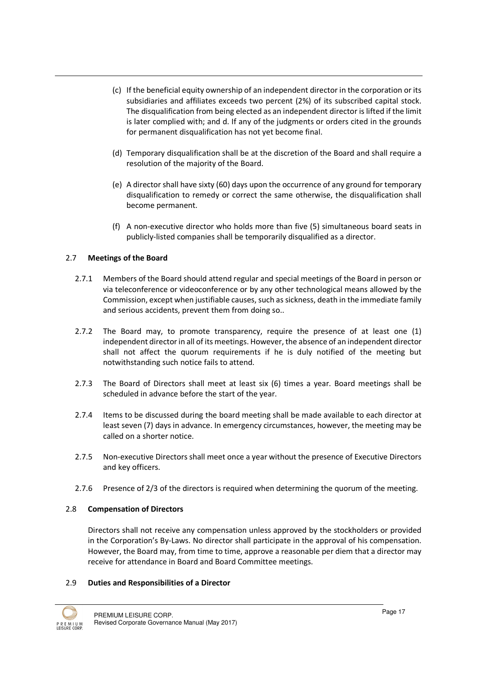- (c) If the beneficial equity ownership of an independent director in the corporation or its subsidiaries and affiliates exceeds two percent (2%) of its subscribed capital stock. The disqualification from being elected as an independent director is lifted if the limit is later complied with; and d. If any of the judgments or orders cited in the grounds for permanent disqualification has not yet become final.
- (d) Temporary disqualification shall be at the discretion of the Board and shall require a resolution of the majority of the Board.
- (e) A director shall have sixty (60) days upon the occurrence of any ground for temporary disqualification to remedy or correct the same otherwise, the disqualification shall become permanent.
- (f) A non-executive director who holds more than five (5) simultaneous board seats in publicly-listed companies shall be temporarily disqualified as a director.

# 2.7 Meetings of the Board

- 2.7.1 Members of the Board should attend regular and special meetings of the Board in person or via teleconference or videoconference or by any other technological means allowed by the Commission, except when justifiable causes, such as sickness, death in the immediate family and serious accidents, prevent them from doing so..
- 2.7.2 The Board may, to promote transparency, require the presence of at least one (1) independent director in all of its meetings. However, the absence of an independent director shall not affect the quorum requirements if he is duly notified of the meeting but notwithstanding such notice fails to attend.
- 2.7.3 The Board of Directors shall meet at least six (6) times a year. Board meetings shall be scheduled in advance before the start of the year.
- 2.7.4 Items to be discussed during the board meeting shall be made available to each director at least seven (7) days in advance. In emergency circumstances, however, the meeting may be called on a shorter notice.
- 2.7.5 Non-executive Directors shall meet once a year without the presence of Executive Directors and key officers.
- 2.7.6 Presence of 2/3 of the directors is required when determining the quorum of the meeting.

#### 2.8 Compensation of Directors

Directors shall not receive any compensation unless approved by the stockholders or provided in the Corporation's By-Laws. No director shall participate in the approval of his compensation. However, the Board may, from time to time, approve a reasonable per diem that a director may receive for attendance in Board and Board Committee meetings.

#### 2.9 Duties and Responsibilities of a Director

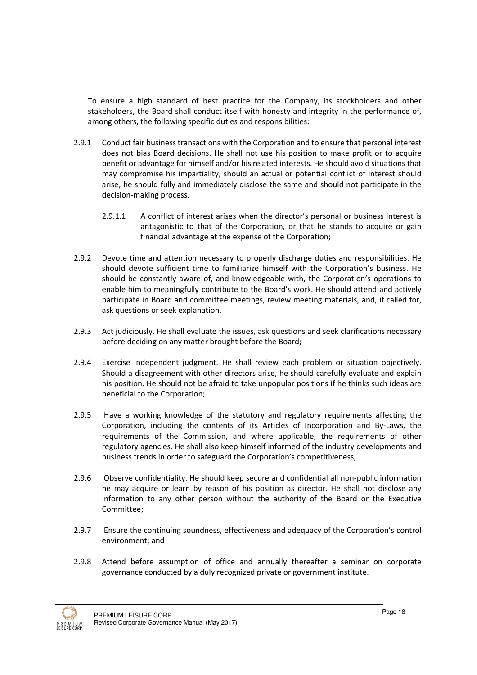To ensure a high standard of best practice for the Company, its stockholders and other stakeholders, the Board shall conduct itself with honesty and integrity in the performance of, among others, the following specific duties and responsibilities:

- 2.9.1 Conduct fair business transactions with the Corporation and to ensure that personal interest does not bias Board decisions. He shall not use his position to make profit or to acquire benefit or advantage for himself and/or his related interests. He should avoid situations that may compromise his impartiality, should an actual or potential conflict of interest should arise, he should fully and immediately disclose the same and should not participate in the decision-making process.
	- 2.9.1.1 A conflict of interest arises when the director's personal or business interest is antagonistic to that of the Corporation, or that he stands to acquire or gain financial advantage at the expense of the Corporation;
- 2.9.2 Devote time and attention necessary to properly discharge duties and responsibilities. He should devote sufficient time to familiarize himself with the Corporation's business. He should be constantly aware of, and knowledgeable with, the Corporation's operations to enable him to meaningfully contribute to the Board's work. He should attend and actively participate in Board and committee meetings, review meeting materials, and, if called for, ask questions or seek explanation.
- 2.9.3 Act judiciously. He shall evaluate the issues, ask questions and seek clarifications necessary before deciding on any matter brought before the Board;
- 2.9.4 Exercise independent judgment. He shall review each problem or situation objectively. Should a disagreement with other directors arise, he should carefully evaluate and explain his position. He should not be afraid to take unpopular positions if he thinks such ideas are beneficial to the Corporation;
- 2.9.5 Have a working knowledge of the statutory and regulatory requirements affecting the Corporation, including the contents of its Articles of Incorporation and By-Laws, the requirements of the Commission, and where applicable, the requirements of other regulatory agencies. He shall also keep himself informed of the industry developments and business trends in order to safeguard the Corporation's competitiveness;
- 2.9.6 Observe confidentiality. He should keep secure and confidential all non-public information he may acquire or learn by reason of his position as director. He shall not disclose any information to any other person without the authority of the Board or the Executive Committee;
- 2.9.7 Ensure the continuing soundness, effectiveness and adequacy of the Corporation's control environment; and
- 2.9.8 Attend before assumption of office and annually thereafter a seminar on corporate governance conducted by a duly recognized private or government institute.

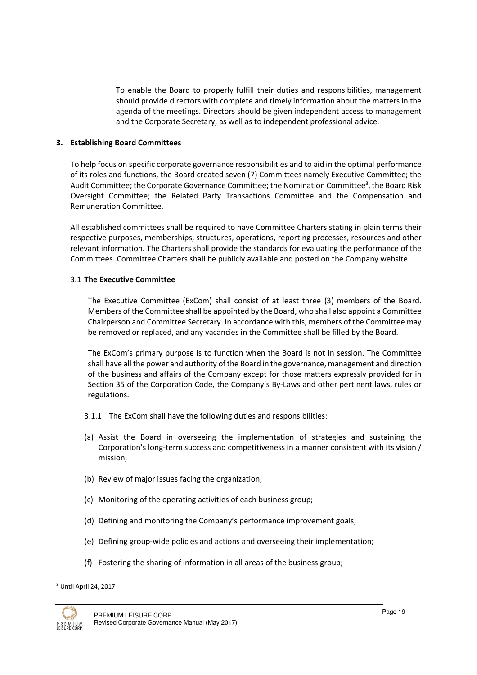To enable the Board to properly fulfill their duties and responsibilities, management should provide directors with complete and timely information about the matters in the agenda of the meetings. Directors should be given independent access to management and the Corporate Secretary, as well as to independent professional advice.

#### 3. Establishing Board Committees

To help focus on specific corporate governance responsibilities and to aid in the optimal performance of its roles and functions, the Board created seven (7) Committees namely Executive Committee; the Audit Committee; the Corporate Governance Committee; the Nomination Committee<sup>3</sup>, the Board Risk Oversight Committee; the Related Party Transactions Committee and the Compensation and Remuneration Committee.

All established committees shall be required to have Committee Charters stating in plain terms their respective purposes, memberships, structures, operations, reporting processes, resources and other relevant information. The Charters shall provide the standards for evaluating the performance of the Committees. Committee Charters shall be publicly available and posted on the Company website.

#### 3.1 The Executive Committee

The Executive Committee (ExCom) shall consist of at least three (3) members of the Board. Members of the Committee shall be appointed by the Board, who shall also appoint a Committee Chairperson and Committee Secretary. In accordance with this, members of the Committee may be removed or replaced, and any vacancies in the Committee shall be filled by the Board.

The ExCom's primary purpose is to function when the Board is not in session. The Committee shall have all the power and authority of the Board in the governance, management and direction of the business and affairs of the Company except for those matters expressly provided for in Section 35 of the Corporation Code, the Company's By-Laws and other pertinent laws, rules or regulations.

- 3.1.1 The ExCom shall have the following duties and responsibilities:
- (a) Assist the Board in overseeing the implementation of strategies and sustaining the Corporation's long-term success and competitiveness in a manner consistent with its vision / mission;
- (b) Review of major issues facing the organization;
- (c) Monitoring of the operating activities of each business group;
- (d) Defining and monitoring the Company's performance improvement goals;
- (e) Defining group-wide policies and actions and overseeing their implementation;
- (f) Fostering the sharing of information in all areas of the business group;

<sup>&</sup>lt;sup>3</sup> Until April 24, 2017



 $\overline{a}$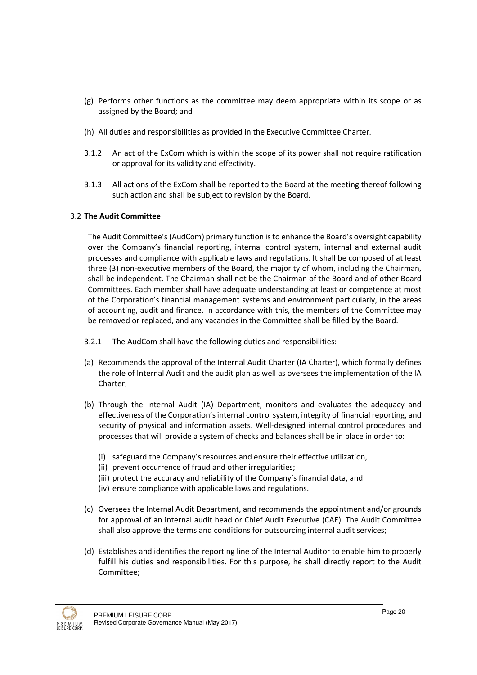- (g) Performs other functions as the committee may deem appropriate within its scope or as assigned by the Board; and
- (h) All duties and responsibilities as provided in the Executive Committee Charter.
- 3.1.2 An act of the ExCom which is within the scope of its power shall not require ratification or approval for its validity and effectivity.
- 3.1.3 All actions of the ExCom shall be reported to the Board at the meeting thereof following such action and shall be subject to revision by the Board.

#### 3.2 The Audit Committee

The Audit Committee's (AudCom) primary function is to enhance the Board's oversight capability over the Company's financial reporting, internal control system, internal and external audit processes and compliance with applicable laws and regulations. It shall be composed of at least three (3) non-executive members of the Board, the majority of whom, including the Chairman, shall be independent. The Chairman shall not be the Chairman of the Board and of other Board Committees. Each member shall have adequate understanding at least or competence at most of the Corporation's financial management systems and environment particularly, in the areas of accounting, audit and finance. In accordance with this, the members of the Committee may be removed or replaced, and any vacancies in the Committee shall be filled by the Board.

- 3.2.1 The AudCom shall have the following duties and responsibilities:
- (a) Recommends the approval of the Internal Audit Charter (IA Charter), which formally defines the role of Internal Audit and the audit plan as well as oversees the implementation of the IA Charter;
- (b) Through the Internal Audit (IA) Department, monitors and evaluates the adequacy and effectiveness of the Corporation's internal control system, integrity of financial reporting, and security of physical and information assets. Well-designed internal control procedures and processes that will provide a system of checks and balances shall be in place in order to:
	- (i) safeguard the Company's resources and ensure their effective utilization,
	- (ii) prevent occurrence of fraud and other irregularities;
	- (iii) protect the accuracy and reliability of the Company's financial data, and
	- (iv) ensure compliance with applicable laws and regulations.
- (c) Oversees the Internal Audit Department, and recommends the appointment and/or grounds for approval of an internal audit head or Chief Audit Executive (CAE). The Audit Committee shall also approve the terms and conditions for outsourcing internal audit services;
- (d) Establishes and identifies the reporting line of the Internal Auditor to enable him to properly fulfill his duties and responsibilities. For this purpose, he shall directly report to the Audit Committee;

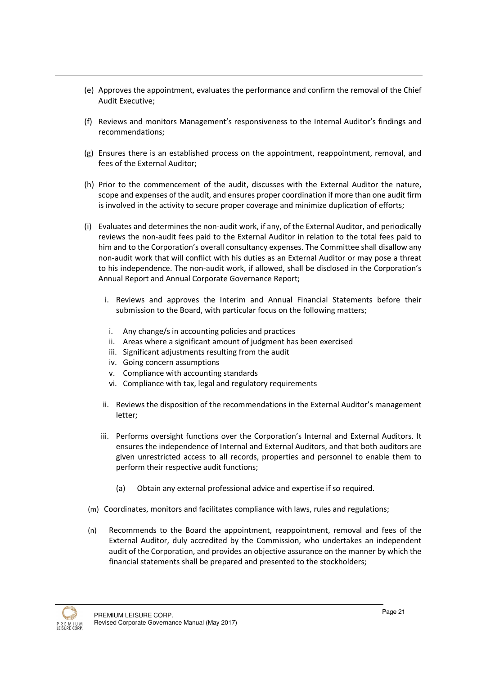- (e) Approves the appointment, evaluates the performance and confirm the removal of the Chief Audit Executive;
- (f) Reviews and monitors Management's responsiveness to the Internal Auditor's findings and recommendations;
- (g) Ensures there is an established process on the appointment, reappointment, removal, and fees of the External Auditor;
- (h) Prior to the commencement of the audit, discusses with the External Auditor the nature, scope and expenses of the audit, and ensures proper coordination if more than one audit firm is involved in the activity to secure proper coverage and minimize duplication of efforts;
- (i) Evaluates and determines the non-audit work, if any, of the External Auditor, and periodically reviews the non-audit fees paid to the External Auditor in relation to the total fees paid to him and to the Corporation's overall consultancy expenses. The Committee shall disallow any non-audit work that will conflict with his duties as an External Auditor or may pose a threat to his independence. The non-audit work, if allowed, shall be disclosed in the Corporation's Annual Report and Annual Corporate Governance Report;
	- i. Reviews and approves the Interim and Annual Financial Statements before their submission to the Board, with particular focus on the following matters;
	- i. Any change/s in accounting policies and practices
	- ii. Areas where a significant amount of judgment has been exercised
	- iii. Significant adjustments resulting from the audit
	- iv. Going concern assumptions
	- v. Compliance with accounting standards
	- vi. Compliance with tax, legal and regulatory requirements
	- ii. Reviews the disposition of the recommendations in the External Auditor's management letter;
	- iii. Performs oversight functions over the Corporation's Internal and External Auditors. It ensures the independence of Internal and External Auditors, and that both auditors are given unrestricted access to all records, properties and personnel to enable them to perform their respective audit functions;
		- (a) Obtain any external professional advice and expertise if so required.
- (m) Coordinates, monitors and facilitates compliance with laws, rules and regulations;
- (n) Recommends to the Board the appointment, reappointment, removal and fees of the External Auditor, duly accredited by the Commission, who undertakes an independent audit of the Corporation, and provides an objective assurance on the manner by which the financial statements shall be prepared and presented to the stockholders;

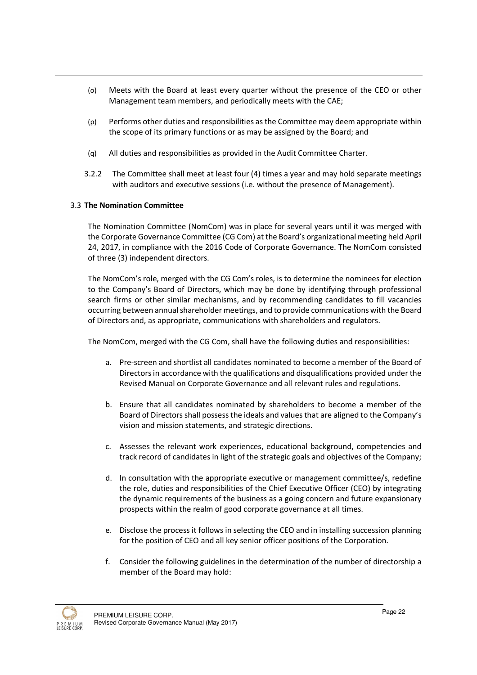- (o) Meets with the Board at least every quarter without the presence of the CEO or other Management team members, and periodically meets with the CAE;
- (p) Performs other duties and responsibilities as the Committee may deem appropriate within the scope of its primary functions or as may be assigned by the Board; and
- (q) All duties and responsibilities as provided in the Audit Committee Charter.
- 3.2.2 The Committee shall meet at least four (4) times a year and may hold separate meetings with auditors and executive sessions (i.e. without the presence of Management).

#### 3.3 The Nomination Committee

The Nomination Committee (NomCom) was in place for several years until it was merged with the Corporate Governance Committee (CG Com) at the Board's organizational meeting held April 24, 2017, in compliance with the 2016 Code of Corporate Governance. The NomCom consisted of three (3) independent directors.

The NomCom's role, merged with the CG Com's roles, is to determine the nominees for election to the Company's Board of Directors, which may be done by identifying through professional search firms or other similar mechanisms, and by recommending candidates to fill vacancies occurring between annual shareholder meetings, and to provide communications with the Board of Directors and, as appropriate, communications with shareholders and regulators.

The NomCom, merged with the CG Com, shall have the following duties and responsibilities:

- a. Pre-screen and shortlist all candidates nominated to become a member of the Board of Directors in accordance with the qualifications and disqualifications provided under the Revised Manual on Corporate Governance and all relevant rules and regulations.
- b. Ensure that all candidates nominated by shareholders to become a member of the Board of Directors shall possess the ideals and values that are aligned to the Company's vision and mission statements, and strategic directions.
- c. Assesses the relevant work experiences, educational background, competencies and track record of candidates in light of the strategic goals and objectives of the Company;
- d. In consultation with the appropriate executive or management committee/s, redefine the role, duties and responsibilities of the Chief Executive Officer (CEO) by integrating the dynamic requirements of the business as a going concern and future expansionary prospects within the realm of good corporate governance at all times.
- e. Disclose the process it follows in selecting the CEO and in installing succession planning for the position of CEO and all key senior officer positions of the Corporation.
- f. Consider the following guidelines in the determination of the number of directorship a member of the Board may hold:

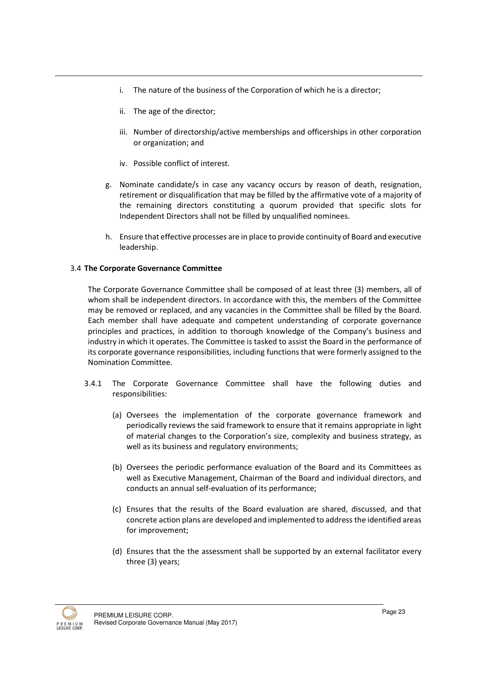- i. The nature of the business of the Corporation of which he is a director;
- ii. The age of the director;
- iii. Number of directorship/active memberships and officerships in other corporation or organization; and
- iv. Possible conflict of interest.
- g. Nominate candidate/s in case any vacancy occurs by reason of death, resignation, retirement or disqualification that may be filled by the affirmative vote of a majority of the remaining directors constituting a quorum provided that specific slots for Independent Directors shall not be filled by unqualified nominees.
- h. Ensure that effective processes are in place to provide continuity of Board and executive leadership.

#### 3.4 The Corporate Governance Committee

The Corporate Governance Committee shall be composed of at least three (3) members, all of whom shall be independent directors. In accordance with this, the members of the Committee may be removed or replaced, and any vacancies in the Committee shall be filled by the Board. Each member shall have adequate and competent understanding of corporate governance principles and practices, in addition to thorough knowledge of the Company's business and industry in which it operates. The Committee is tasked to assist the Board in the performance of its corporate governance responsibilities, including functions that were formerly assigned to the Nomination Committee.

- 3.4.1 The Corporate Governance Committee shall have the following duties and responsibilities:
	- (a) Oversees the implementation of the corporate governance framework and periodically reviews the said framework to ensure that it remains appropriate in light of material changes to the Corporation's size, complexity and business strategy, as well as its business and regulatory environments;
	- (b) Oversees the periodic performance evaluation of the Board and its Committees as well as Executive Management, Chairman of the Board and individual directors, and conducts an annual self-evaluation of its performance;
	- (c) Ensures that the results of the Board evaluation are shared, discussed, and that concrete action plans are developed and implemented to address the identified areas for improvement;
	- (d) Ensures that the the assessment shall be supported by an external facilitator every three (3) years;

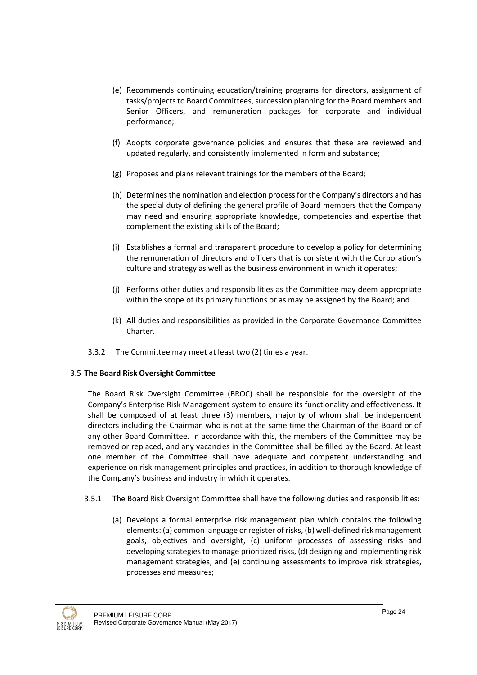- (e) Recommends continuing education/training programs for directors, assignment of tasks/projects to Board Committees, succession planning for the Board members and Senior Officers, and remuneration packages for corporate and individual performance;
- (f) Adopts corporate governance policies and ensures that these are reviewed and updated regularly, and consistently implemented in form and substance;
- (g) Proposes and plans relevant trainings for the members of the Board;
- (h) Determines the nomination and election process for the Company's directors and has the special duty of defining the general profile of Board members that the Company may need and ensuring appropriate knowledge, competencies and expertise that complement the existing skills of the Board;
- (i) Establishes a formal and transparent procedure to develop a policy for determining the remuneration of directors and officers that is consistent with the Corporation's culture and strategy as well as the business environment in which it operates;
- (j) Performs other duties and responsibilities as the Committee may deem appropriate within the scope of its primary functions or as may be assigned by the Board; and
- (k) All duties and responsibilities as provided in the Corporate Governance Committee Charter.
- 3.3.2 The Committee may meet at least two (2) times a year.

#### 3.5 The Board Risk Oversight Committee

The Board Risk Oversight Committee (BROC) shall be responsible for the oversight of the Company's Enterprise Risk Management system to ensure its functionality and effectiveness. It shall be composed of at least three (3) members, majority of whom shall be independent directors including the Chairman who is not at the same time the Chairman of the Board or of any other Board Committee. In accordance with this, the members of the Committee may be removed or replaced, and any vacancies in the Committee shall be filled by the Board. At least one member of the Committee shall have adequate and competent understanding and experience on risk management principles and practices, in addition to thorough knowledge of the Company's business and industry in which it operates.

- 3.5.1 The Board Risk Oversight Committee shall have the following duties and responsibilities:
	- (a) Develops a formal enterprise risk management plan which contains the following elements: (a) common language or register of risks, (b) well-defined risk management goals, objectives and oversight, (c) uniform processes of assessing risks and developing strategies to manage prioritized risks, (d) designing and implementing risk management strategies, and (e) continuing assessments to improve risk strategies, processes and measures;

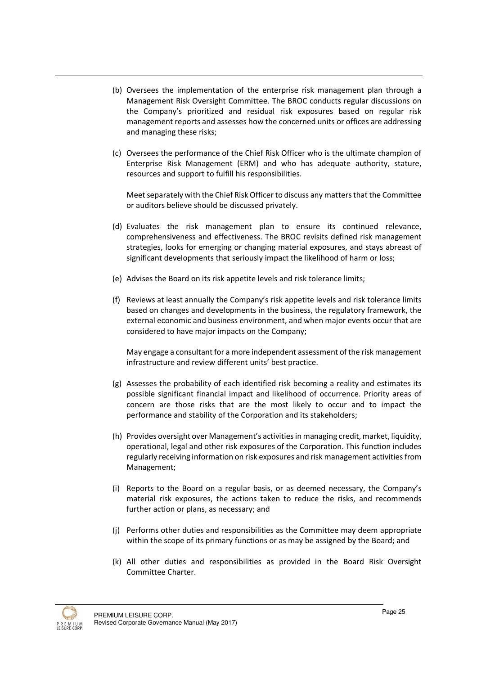- (b) Oversees the implementation of the enterprise risk management plan through a Management Risk Oversight Committee. The BROC conducts regular discussions on the Company's prioritized and residual risk exposures based on regular risk management reports and assesses how the concerned units or offices are addressing and managing these risks;
- (c) Oversees the performance of the Chief Risk Officer who is the ultimate champion of Enterprise Risk Management (ERM) and who has adequate authority, stature, resources and support to fulfill his responsibilities.

Meet separately with the Chief Risk Officer to discuss any matters that the Committee or auditors believe should be discussed privately.

- (d) Evaluates the risk management plan to ensure its continued relevance, comprehensiveness and effectiveness. The BROC revisits defined risk management strategies, looks for emerging or changing material exposures, and stays abreast of significant developments that seriously impact the likelihood of harm or loss;
- (e) Advises the Board on its risk appetite levels and risk tolerance limits;
- (f) Reviews at least annually the Company's risk appetite levels and risk tolerance limits based on changes and developments in the business, the regulatory framework, the external economic and business environment, and when major events occur that are considered to have major impacts on the Company;

May engage a consultant for a more independent assessment of the risk management infrastructure and review different units' best practice.

- (g) Assesses the probability of each identified risk becoming a reality and estimates its possible significant financial impact and likelihood of occurrence. Priority areas of concern are those risks that are the most likely to occur and to impact the performance and stability of the Corporation and its stakeholders;
- (h) Provides oversight over Management's activities in managing credit, market, liquidity, operational, legal and other risk exposures of the Corporation. This function includes regularly receiving information on risk exposures and risk management activities from Management;
- (i) Reports to the Board on a regular basis, or as deemed necessary, the Company's material risk exposures, the actions taken to reduce the risks, and recommends further action or plans, as necessary; and
- (j) Performs other duties and responsibilities as the Committee may deem appropriate within the scope of its primary functions or as may be assigned by the Board; and
- (k) All other duties and responsibilities as provided in the Board Risk Oversight Committee Charter.

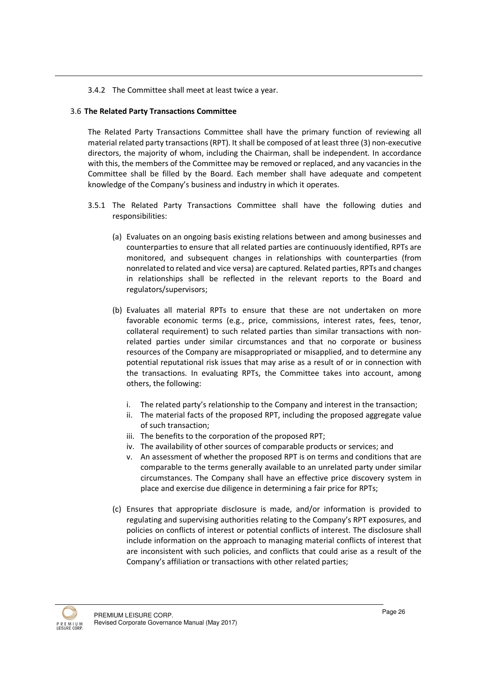#### 3.4.2 The Committee shall meet at least twice a year.

#### 3.6 The Related Party Transactions Committee

The Related Party Transactions Committee shall have the primary function of reviewing all material related party transactions (RPT). It shall be composed of at least three (3) non-executive directors, the majority of whom, including the Chairman, shall be independent. In accordance with this, the members of the Committee may be removed or replaced, and any vacancies in the Committee shall be filled by the Board. Each member shall have adequate and competent knowledge of the Company's business and industry in which it operates.

- 3.5.1 The Related Party Transactions Committee shall have the following duties and responsibilities:
	- (a) Evaluates on an ongoing basis existing relations between and among businesses and counterparties to ensure that all related parties are continuously identified, RPTs are monitored, and subsequent changes in relationships with counterparties (from nonrelated to related and vice versa) are captured. Related parties, RPTs and changes in relationships shall be reflected in the relevant reports to the Board and regulators/supervisors;
	- (b) Evaluates all material RPTs to ensure that these are not undertaken on more favorable economic terms (e.g., price, commissions, interest rates, fees, tenor, collateral requirement) to such related parties than similar transactions with nonrelated parties under similar circumstances and that no corporate or business resources of the Company are misappropriated or misapplied, and to determine any potential reputational risk issues that may arise as a result of or in connection with the transactions. In evaluating RPTs, the Committee takes into account, among others, the following:
		- i. The related party's relationship to the Company and interest in the transaction;
		- ii. The material facts of the proposed RPT, including the proposed aggregate value of such transaction;
		- iii. The benefits to the corporation of the proposed RPT;
		- iv. The availability of other sources of comparable products or services; and
		- v. An assessment of whether the proposed RPT is on terms and conditions that are comparable to the terms generally available to an unrelated party under similar circumstances. The Company shall have an effective price discovery system in place and exercise due diligence in determining a fair price for RPTs;
	- (c) Ensures that appropriate disclosure is made, and/or information is provided to regulating and supervising authorities relating to the Company's RPT exposures, and policies on conflicts of interest or potential conflicts of interest. The disclosure shall include information on the approach to managing material conflicts of interest that are inconsistent with such policies, and conflicts that could arise as a result of the Company's affiliation or transactions with other related parties;

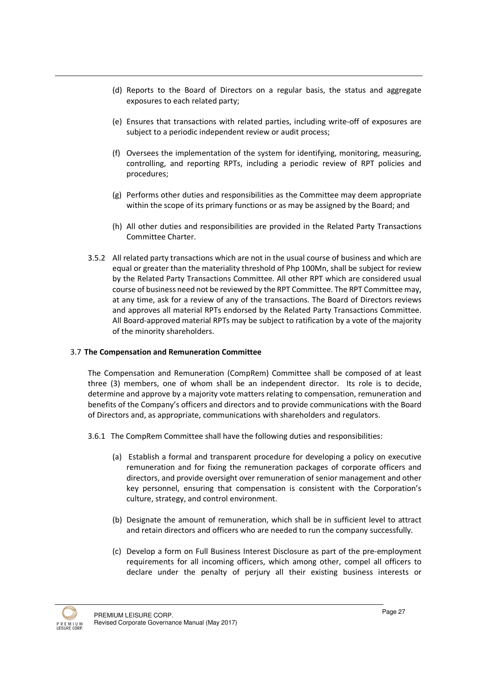- (d) Reports to the Board of Directors on a regular basis, the status and aggregate exposures to each related party;
- (e) Ensures that transactions with related parties, including write-off of exposures are subject to a periodic independent review or audit process;
- (f) Oversees the implementation of the system for identifying, monitoring, measuring, controlling, and reporting RPTs, including a periodic review of RPT policies and procedures;
- (g) Performs other duties and responsibilities as the Committee may deem appropriate within the scope of its primary functions or as may be assigned by the Board; and
- (h) All other duties and responsibilities are provided in the Related Party Transactions Committee Charter.
- 3.5.2 All related party transactions which are not in the usual course of business and which are equal or greater than the materiality threshold of Php 100Mn, shall be subject for review by the Related Party Transactions Committee. All other RPT which are considered usual course of business need not be reviewed by the RPT Committee. The RPT Committee may, at any time, ask for a review of any of the transactions. The Board of Directors reviews and approves all material RPTs endorsed by the Related Party Transactions Committee. All Board-approved material RPTs may be subject to ratification by a vote of the majority of the minority shareholders.

# 3.7 The Compensation and Remuneration Committee

The Compensation and Remuneration (CompRem) Committee shall be composed of at least three (3) members, one of whom shall be an independent director. Its role is to decide, determine and approve by a majority vote matters relating to compensation, remuneration and benefits of the Company's officers and directors and to provide communications with the Board of Directors and, as appropriate, communications with shareholders and regulators.

- 3.6.1 The CompRem Committee shall have the following duties and responsibilities:
	- (a) Establish a formal and transparent procedure for developing a policy on executive remuneration and for fixing the remuneration packages of corporate officers and directors, and provide oversight over remuneration of senior management and other key personnel, ensuring that compensation is consistent with the Corporation's culture, strategy, and control environment.
	- (b) Designate the amount of remuneration, which shall be in sufficient level to attract and retain directors and officers who are needed to run the company successfully.
	- (c) Develop a form on Full Business Interest Disclosure as part of the pre-employment requirements for all incoming officers, which among other, compel all officers to declare under the penalty of perjury all their existing business interests or

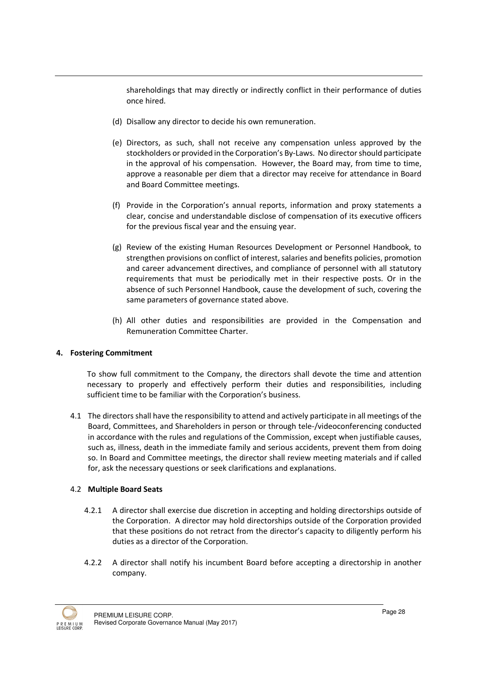shareholdings that may directly or indirectly conflict in their performance of duties once hired.

- (d) Disallow any director to decide his own remuneration.
- (e) Directors, as such, shall not receive any compensation unless approved by the stockholders or provided in the Corporation's By-Laws. No director should participate in the approval of his compensation. However, the Board may, from time to time, approve a reasonable per diem that a director may receive for attendance in Board and Board Committee meetings.
- (f) Provide in the Corporation's annual reports, information and proxy statements a clear, concise and understandable disclose of compensation of its executive officers for the previous fiscal year and the ensuing year.
- (g) Review of the existing Human Resources Development or Personnel Handbook, to strengthen provisions on conflict of interest, salaries and benefits policies, promotion and career advancement directives, and compliance of personnel with all statutory requirements that must be periodically met in their respective posts. Or in the absence of such Personnel Handbook, cause the development of such, covering the same parameters of governance stated above.
- (h) All other duties and responsibilities are provided in the Compensation and Remuneration Committee Charter.

# 4. Fostering Commitment

To show full commitment to the Company, the directors shall devote the time and attention necessary to properly and effectively perform their duties and responsibilities, including sufficient time to be familiar with the Corporation's business.

4.1 The directors shall have the responsibility to attend and actively participate in all meetings of the Board, Committees, and Shareholders in person or through tele-/videoconferencing conducted in accordance with the rules and regulations of the Commission, except when justifiable causes, such as, illness, death in the immediate family and serious accidents, prevent them from doing so. In Board and Committee meetings, the director shall review meeting materials and if called for, ask the necessary questions or seek clarifications and explanations.

#### 4.2 Multiple Board Seats

- 4.2.1 A director shall exercise due discretion in accepting and holding directorships outside of the Corporation. A director may hold directorships outside of the Corporation provided that these positions do not retract from the director's capacity to diligently perform his duties as a director of the Corporation.
- 4.2.2 A director shall notify his incumbent Board before accepting a directorship in another company.

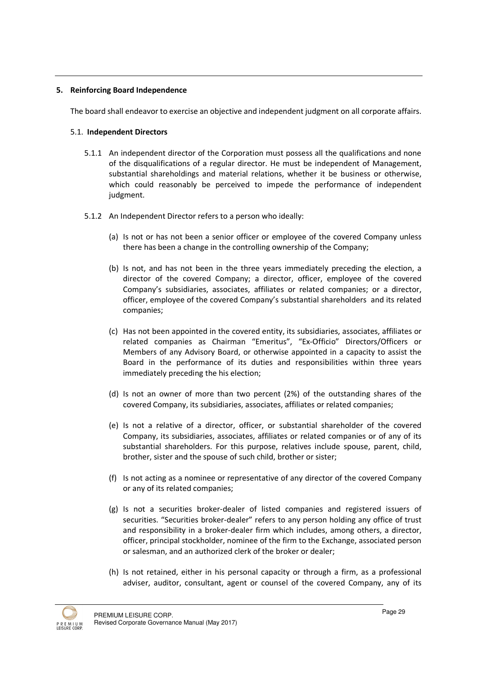#### 5. Reinforcing Board Independence

The board shall endeavor to exercise an objective and independent judgment on all corporate affairs.

#### 5.1. Independent Directors

- 5.1.1 An independent director of the Corporation must possess all the qualifications and none of the disqualifications of a regular director. He must be independent of Management, substantial shareholdings and material relations, whether it be business or otherwise, which could reasonably be perceived to impede the performance of independent judgment.
- 5.1.2 An Independent Director refers to a person who ideally:
	- (a) Is not or has not been a senior officer or employee of the covered Company unless there has been a change in the controlling ownership of the Company;
	- (b) Is not, and has not been in the three years immediately preceding the election, a director of the covered Company; a director, officer, employee of the covered Company's subsidiaries, associates, affiliates or related companies; or a director, officer, employee of the covered Company's substantial shareholders and its related companies;
	- (c) Has not been appointed in the covered entity, its subsidiaries, associates, affiliates or related companies as Chairman "Emeritus", "Ex-Officio" Directors/Officers or Members of any Advisory Board, or otherwise appointed in a capacity to assist the Board in the performance of its duties and responsibilities within three years immediately preceding the his election;
	- (d) Is not an owner of more than two percent (2%) of the outstanding shares of the covered Company, its subsidiaries, associates, affiliates or related companies;
	- (e) Is not a relative of a director, officer, or substantial shareholder of the covered Company, its subsidiaries, associates, affiliates or related companies or of any of its substantial shareholders. For this purpose, relatives include spouse, parent, child, brother, sister and the spouse of such child, brother or sister;
	- (f) Is not acting as a nominee or representative of any director of the covered Company or any of its related companies;
	- (g) Is not a securities broker-dealer of listed companies and registered issuers of securities. "Securities broker-dealer" refers to any person holding any office of trust and responsibility in a broker-dealer firm which includes, among others, a director, officer, principal stockholder, nominee of the firm to the Exchange, associated person or salesman, and an authorized clerk of the broker or dealer;
	- (h) Is not retained, either in his personal capacity or through a firm, as a professional adviser, auditor, consultant, agent or counsel of the covered Company, any of its

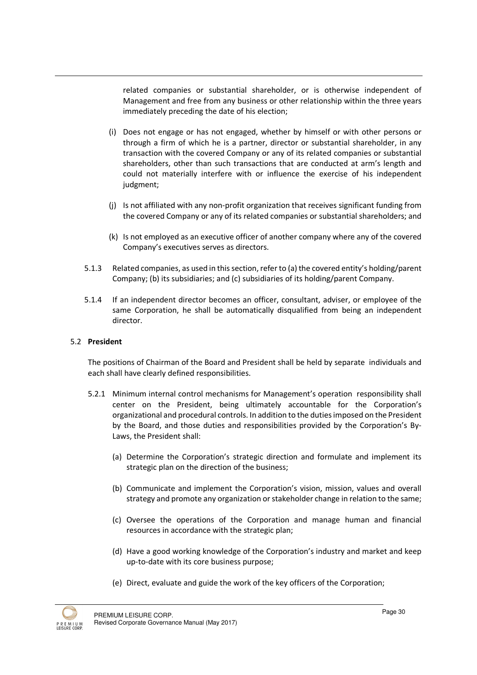related companies or substantial shareholder, or is otherwise independent of Management and free from any business or other relationship within the three years immediately preceding the date of his election;

- (i) Does not engage or has not engaged, whether by himself or with other persons or through a firm of which he is a partner, director or substantial shareholder, in any transaction with the covered Company or any of its related companies or substantial shareholders, other than such transactions that are conducted at arm's length and could not materially interfere with or influence the exercise of his independent judgment;
- (j) Is not affiliated with any non-profit organization that receives significant funding from the covered Company or any of its related companies or substantial shareholders; and
- (k) Is not employed as an executive officer of another company where any of the covered Company's executives serves as directors.
- 5.1.3 Related companies, as used in this section, refer to (a) the covered entity's holding/parent Company; (b) its subsidiaries; and (c) subsidiaries of its holding/parent Company.
- 5.1.4 If an independent director becomes an officer, consultant, adviser, or employee of the same Corporation, he shall be automatically disqualified from being an independent director.

#### 5.2 President

The positions of Chairman of the Board and President shall be held by separate individuals and each shall have clearly defined responsibilities.

- 5.2.1 Minimum internal control mechanisms for Management's operation responsibility shall center on the President, being ultimately accountable for the Corporation's organizational and procedural controls. In addition to the duties imposed on the President by the Board, and those duties and responsibilities provided by the Corporation's By-Laws, the President shall:
	- (a) Determine the Corporation's strategic direction and formulate and implement its strategic plan on the direction of the business;
	- (b) Communicate and implement the Corporation's vision, mission, values and overall strategy and promote any organization or stakeholder change in relation to the same;
	- (c) Oversee the operations of the Corporation and manage human and financial resources in accordance with the strategic plan;
	- (d) Have a good working knowledge of the Corporation's industry and market and keep up-to-date with its core business purpose;
	- (e) Direct, evaluate and guide the work of the key officers of the Corporation;

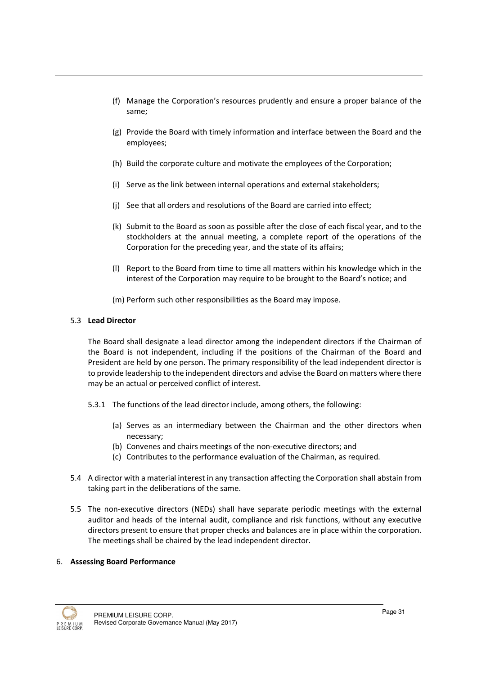- (f) Manage the Corporation's resources prudently and ensure a proper balance of the same;
- (g) Provide the Board with timely information and interface between the Board and the employees;
- (h) Build the corporate culture and motivate the employees of the Corporation;
- (i) Serve as the link between internal operations and external stakeholders;
- (j) See that all orders and resolutions of the Board are carried into effect;
- (k) Submit to the Board as soon as possible after the close of each fiscal year, and to the stockholders at the annual meeting, a complete report of the operations of the Corporation for the preceding year, and the state of its affairs;
- (l) Report to the Board from time to time all matters within his knowledge which in the interest of the Corporation may require to be brought to the Board's notice; and
- (m) Perform such other responsibilities as the Board may impose.

#### 5.3 Lead Director

The Board shall designate a lead director among the independent directors if the Chairman of the Board is not independent, including if the positions of the Chairman of the Board and President are held by one person. The primary responsibility of the lead independent director is to provide leadership to the independent directors and advise the Board on matters where there may be an actual or perceived conflict of interest.

- 5.3.1 The functions of the lead director include, among others, the following:
	- (a) Serves as an intermediary between the Chairman and the other directors when necessary;
	- (b) Convenes and chairs meetings of the non-executive directors; and
	- (c) Contributes to the performance evaluation of the Chairman, as required.
- 5.4 A director with a material interest in any transaction affecting the Corporation shall abstain from taking part in the deliberations of the same.
- 5.5 The non-executive directors (NEDs) shall have separate periodic meetings with the external auditor and heads of the internal audit, compliance and risk functions, without any executive directors present to ensure that proper checks and balances are in place within the corporation. The meetings shall be chaired by the lead independent director.

#### 6. Assessing Board Performance

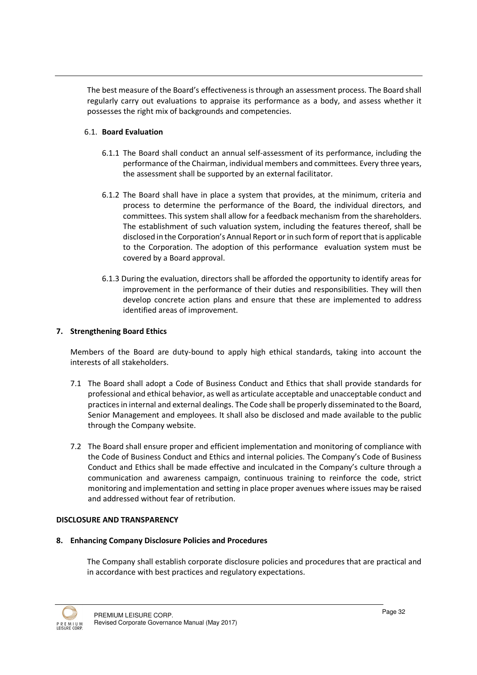The best measure of the Board's effectiveness is through an assessment process. The Board shall regularly carry out evaluations to appraise its performance as a body, and assess whether it possesses the right mix of backgrounds and competencies.

# 6.1. Board Evaluation

- 6.1.1 The Board shall conduct an annual self-assessment of its performance, including the performance of the Chairman, individual members and committees. Every three years, the assessment shall be supported by an external facilitator.
- 6.1.2 The Board shall have in place a system that provides, at the minimum, criteria and process to determine the performance of the Board, the individual directors, and committees. This system shall allow for a feedback mechanism from the shareholders. The establishment of such valuation system, including the features thereof, shall be disclosed in the Corporation's Annual Report or in such form of report that is applicable to the Corporation. The adoption of this performance evaluation system must be covered by a Board approval.
- 6.1.3 During the evaluation, directors shall be afforded the opportunity to identify areas for improvement in the performance of their duties and responsibilities. They will then develop concrete action plans and ensure that these are implemented to address identified areas of improvement.

#### 7. Strengthening Board Ethics

Members of the Board are duty-bound to apply high ethical standards, taking into account the interests of all stakeholders.

- 7.1 The Board shall adopt a Code of Business Conduct and Ethics that shall provide standards for professional and ethical behavior, as well as articulate acceptable and unacceptable conduct and practices in internal and external dealings. The Code shall be properly disseminated to the Board, Senior Management and employees. It shall also be disclosed and made available to the public through the Company website.
- 7.2 The Board shall ensure proper and efficient implementation and monitoring of compliance with the Code of Business Conduct and Ethics and internal policies. The Company's Code of Business Conduct and Ethics shall be made effective and inculcated in the Company's culture through a communication and awareness campaign, continuous training to reinforce the code, strict monitoring and implementation and setting in place proper avenues where issues may be raised and addressed without fear of retribution.

#### DISCLOSURE AND TRANSPARENCY

#### 8. Enhancing Company Disclosure Policies and Procedures

The Company shall establish corporate disclosure policies and procedures that are practical and in accordance with best practices and regulatory expectations.

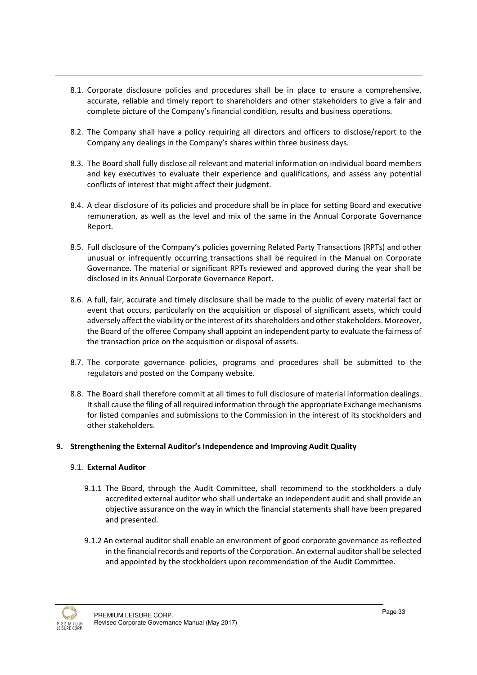- 8.1. Corporate disclosure policies and procedures shall be in place to ensure a comprehensive, accurate, reliable and timely report to shareholders and other stakeholders to give a fair and complete picture of the Company's financial condition, results and business operations.
- 8.2. The Company shall have a policy requiring all directors and officers to disclose/report to the Company any dealings in the Company's shares within three business days.
- 8.3. The Board shall fully disclose all relevant and material information on individual board members and key executives to evaluate their experience and qualifications, and assess any potential conflicts of interest that might affect their judgment.
- 8.4. A clear disclosure of its policies and procedure shall be in place for setting Board and executive remuneration, as well as the level and mix of the same in the Annual Corporate Governance Report.
- 8.5. Full disclosure of the Company's policies governing Related Party Transactions (RPTs) and other unusual or infrequently occurring transactions shall be required in the Manual on Corporate Governance. The material or significant RPTs reviewed and approved during the year shall be disclosed in its Annual Corporate Governance Report.
- 8.6. A full, fair, accurate and timely disclosure shall be made to the public of every material fact or event that occurs, particularly on the acquisition or disposal of significant assets, which could adversely affect the viability or the interest of its shareholders and other stakeholders. Moreover, the Board of the offeree Company shall appoint an independent party to evaluate the fairness of the transaction price on the acquisition or disposal of assets.
- 8.7. The corporate governance policies, programs and procedures shall be submitted to the regulators and posted on the Company website.
- 8.8. The Board shall therefore commit at all times to full disclosure of material information dealings. It shall cause the filing of all required information through the appropriate Exchange mechanisms for listed companies and submissions to the Commission in the interest of its stockholders and other stakeholders.

# 9. Strengthening the External Auditor's Independence and Improving Audit Quality

#### 9.1. External Auditor

- 9.1.1 The Board, through the Audit Committee, shall recommend to the stockholders a duly accredited external auditor who shall undertake an independent audit and shall provide an objective assurance on the way in which the financial statements shall have been prepared and presented.
- 9.1.2 An external auditor shall enable an environment of good corporate governance as reflected in the financial records and reports of the Corporation. An external auditor shall be selected and appointed by the stockholders upon recommendation of the Audit Committee.

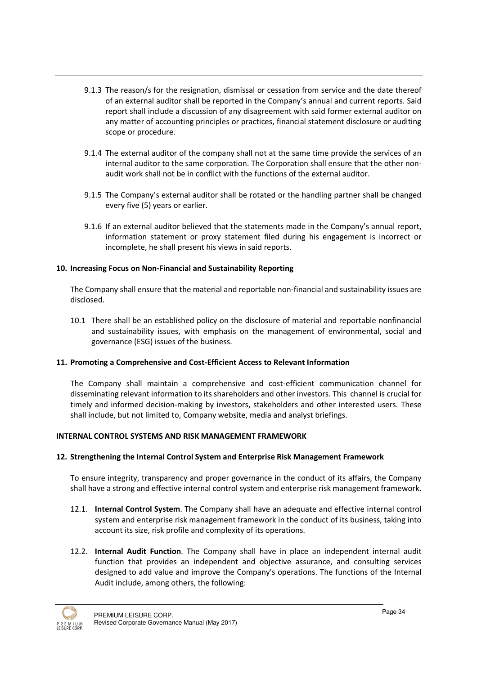- 9.1.3 The reason/s for the resignation, dismissal or cessation from service and the date thereof of an external auditor shall be reported in the Company's annual and current reports. Said report shall include a discussion of any disagreement with said former external auditor on any matter of accounting principles or practices, financial statement disclosure or auditing scope or procedure.
- 9.1.4 The external auditor of the company shall not at the same time provide the services of an internal auditor to the same corporation. The Corporation shall ensure that the other nonaudit work shall not be in conflict with the functions of the external auditor.
- 9.1.5 The Company's external auditor shall be rotated or the handling partner shall be changed every five (5) years or earlier.
- 9.1.6 If an external auditor believed that the statements made in the Company's annual report, information statement or proxy statement filed during his engagement is incorrect or incomplete, he shall present his views in said reports.

#### 10. Increasing Focus on Non-Financial and Sustainability Reporting

The Company shall ensure that the material and reportable non-financial and sustainability issues are disclosed.

10.1 There shall be an established policy on the disclosure of material and reportable nonfinancial and sustainability issues, with emphasis on the management of environmental, social and governance (ESG) issues of the business.

# 11. Promoting a Comprehensive and Cost-Efficient Access to Relevant Information

The Company shall maintain a comprehensive and cost-efficient communication channel for disseminating relevant information to its shareholders and other investors. This channel is crucial for timely and informed decision-making by investors, stakeholders and other interested users. These shall include, but not limited to, Company website, media and analyst briefings.

# INTERNAL CONTROL SYSTEMS AND RISK MANAGEMENT FRAMEWORK

#### 12. Strengthening the Internal Control System and Enterprise Risk Management Framework

To ensure integrity, transparency and proper governance in the conduct of its affairs, the Company shall have a strong and effective internal control system and enterprise risk management framework.

- 12.1. Internal Control System. The Company shall have an adequate and effective internal control system and enterprise risk management framework in the conduct of its business, taking into account its size, risk profile and complexity of its operations.
- 12.2. Internal Audit Function. The Company shall have in place an independent internal audit function that provides an independent and objective assurance, and consulting services designed to add value and improve the Company's operations. The functions of the Internal Audit include, among others, the following:

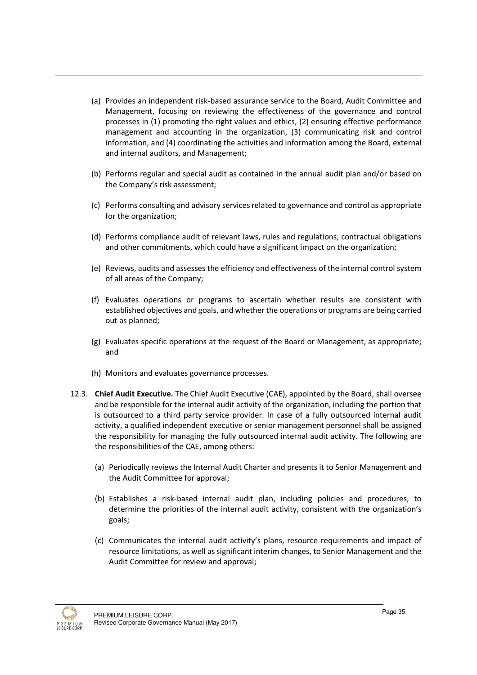- (a) Provides an independent risk-based assurance service to the Board, Audit Committee and Management, focusing on reviewing the effectiveness of the governance and control processes in (1) promoting the right values and ethics, (2) ensuring effective performance management and accounting in the organization, (3) communicating risk and control information, and (4) coordinating the activities and information among the Board, external and internal auditors, and Management;
- (b) Performs regular and special audit as contained in the annual audit plan and/or based on the Company's risk assessment;
- (c) Performs consulting and advisory services related to governance and control as appropriate for the organization;
- (d) Performs compliance audit of relevant laws, rules and regulations, contractual obligations and other commitments, which could have a significant impact on the organization;
- (e) Reviews, audits and assesses the efficiency and effectiveness of the internal control system of all areas of the Company;
- (f) Evaluates operations or programs to ascertain whether results are consistent with established objectives and goals, and whether the operations or programs are being carried out as planned;
- (g) Evaluates specific operations at the request of the Board or Management, as appropriate; and
- (h) Monitors and evaluates governance processes.
- 12.3. Chief Audit Executive. The Chief Audit Executive (CAE), appointed by the Board, shall oversee and be responsible for the internal audit activity of the organization, including the portion that is outsourced to a third party service provider. In case of a fully outsourced internal audit activity, a qualified independent executive or senior management personnel shall be assigned the responsibility for managing the fully outsourced internal audit activity. The following are the responsibilities of the CAE, among others:
	- (a) Periodically reviews the Internal Audit Charter and presents it to Senior Management and the Audit Committee for approval;
	- (b) Establishes a risk-based internal audit plan, including policies and procedures, to determine the priorities of the internal audit activity, consistent with the organization's goals;
	- (c) Communicates the internal audit activity's plans, resource requirements and impact of resource limitations, as well as significant interim changes, to Senior Management and the Audit Committee for review and approval;

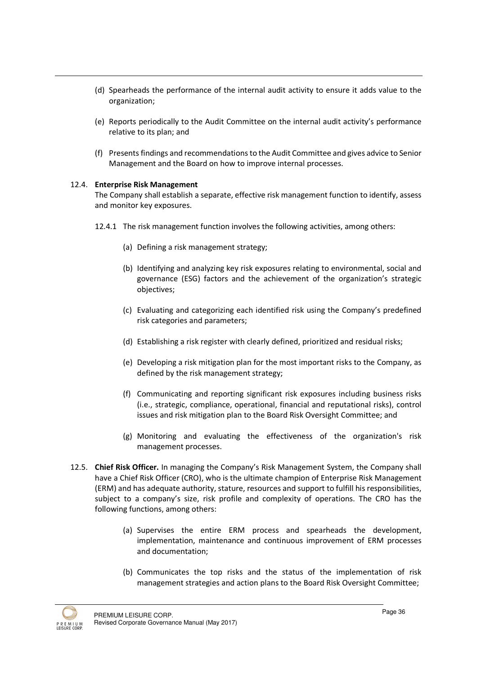- (d) Spearheads the performance of the internal audit activity to ensure it adds value to the organization;
- (e) Reports periodically to the Audit Committee on the internal audit activity's performance relative to its plan; and
- (f) Presents findings and recommendations to the Audit Committee and gives advice to Senior Management and the Board on how to improve internal processes.

#### 12.4. Enterprise Risk Management

The Company shall establish a separate, effective risk management function to identify, assess and monitor key exposures.

- 12.4.1 The risk management function involves the following activities, among others:
	- (a) Defining a risk management strategy;
	- (b) Identifying and analyzing key risk exposures relating to environmental, social and governance (ESG) factors and the achievement of the organization's strategic objectives;
	- (c) Evaluating and categorizing each identified risk using the Company's predefined risk categories and parameters;
	- (d) Establishing a risk register with clearly defined, prioritized and residual risks;
	- (e) Developing a risk mitigation plan for the most important risks to the Company, as defined by the risk management strategy;
	- (f) Communicating and reporting significant risk exposures including business risks (i.e., strategic, compliance, operational, financial and reputational risks), control issues and risk mitigation plan to the Board Risk Oversight Committee; and
	- (g) Monitoring and evaluating the effectiveness of the organization's risk management processes.
- 12.5. Chief Risk Officer. In managing the Company's Risk Management System, the Company shall have a Chief Risk Officer (CRO), who is the ultimate champion of Enterprise Risk Management (ERM) and has adequate authority, stature, resources and support to fulfill his responsibilities, subject to a company's size, risk profile and complexity of operations. The CRO has the following functions, among others:
	- (a) Supervises the entire ERM process and spearheads the development, implementation, maintenance and continuous improvement of ERM processes and documentation;
	- (b) Communicates the top risks and the status of the implementation of risk management strategies and action plans to the Board Risk Oversight Committee;

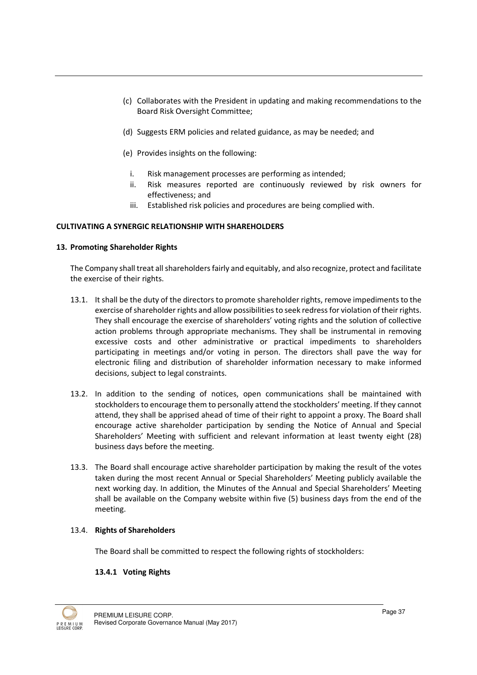- (c) Collaborates with the President in updating and making recommendations to the Board Risk Oversight Committee;
- (d) Suggests ERM policies and related guidance, as may be needed; and
- (e) Provides insights on the following:
	- i. Risk management processes are performing as intended;
	- ii. Risk measures reported are continuously reviewed by risk owners for effectiveness; and
	- iii. Established risk policies and procedures are being complied with.

# CULTIVATING A SYNERGIC RELATIONSHIP WITH SHAREHOLDERS

# 13. Promoting Shareholder Rights

The Company shall treat all shareholders fairly and equitably, and also recognize, protect and facilitate the exercise of their rights.

- 13.1. It shall be the duty of the directors to promote shareholder rights, remove impediments to the exercise of shareholder rights and allow possibilities to seek redress for violation of their rights. They shall encourage the exercise of shareholders' voting rights and the solution of collective action problems through appropriate mechanisms. They shall be instrumental in removing excessive costs and other administrative or practical impediments to shareholders participating in meetings and/or voting in person. The directors shall pave the way for electronic filing and distribution of shareholder information necessary to make informed decisions, subject to legal constraints.
- 13.2. In addition to the sending of notices, open communications shall be maintained with stockholders to encourage them to personally attend the stockholders' meeting. If they cannot attend, they shall be apprised ahead of time of their right to appoint a proxy. The Board shall encourage active shareholder participation by sending the Notice of Annual and Special Shareholders' Meeting with sufficient and relevant information at least twenty eight (28) business days before the meeting.
- 13.3. The Board shall encourage active shareholder participation by making the result of the votes taken during the most recent Annual or Special Shareholders' Meeting publicly available the next working day. In addition, the Minutes of the Annual and Special Shareholders' Meeting shall be available on the Company website within five (5) business days from the end of the meeting.

# 13.4. Rights of Shareholders

The Board shall be committed to respect the following rights of stockholders:

# 13.4.1 Voting Rights

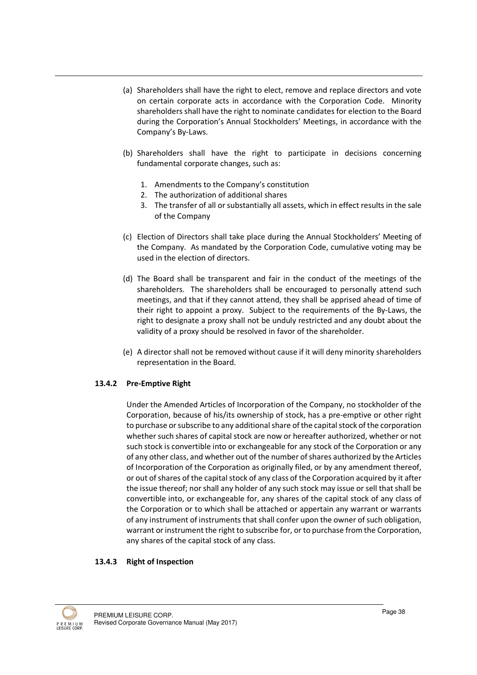- (a) Shareholders shall have the right to elect, remove and replace directors and vote on certain corporate acts in accordance with the Corporation Code. Minority shareholders shall have the right to nominate candidates for election to the Board during the Corporation's Annual Stockholders' Meetings, in accordance with the Company's By-Laws.
- (b) Shareholders shall have the right to participate in decisions concerning fundamental corporate changes, such as:
	- 1. Amendments to the Company's constitution
	- 2. The authorization of additional shares
	- 3. The transfer of all or substantially all assets, which in effect results in the sale of the Company
- (c) Election of Directors shall take place during the Annual Stockholders' Meeting of the Company. As mandated by the Corporation Code, cumulative voting may be used in the election of directors.
- (d) The Board shall be transparent and fair in the conduct of the meetings of the shareholders. The shareholders shall be encouraged to personally attend such meetings, and that if they cannot attend, they shall be apprised ahead of time of their right to appoint a proxy. Subject to the requirements of the By-Laws, the right to designate a proxy shall not be unduly restricted and any doubt about the validity of a proxy should be resolved in favor of the shareholder.
- (e) A director shall not be removed without cause if it will deny minority shareholders representation in the Board.

# 13.4.2 Pre-Emptive Right

Under the Amended Articles of Incorporation of the Company, no stockholder of the Corporation, because of his/its ownership of stock, has a pre-emptive or other right to purchase or subscribe to any additional share of the capital stock of the corporation whether such shares of capital stock are now or hereafter authorized, whether or not such stock is convertible into or exchangeable for any stock of the Corporation or any of any other class, and whether out of the number of shares authorized by the Articles of Incorporation of the Corporation as originally filed, or by any amendment thereof, or out of shares of the capital stock of any class of the Corporation acquired by it after the issue thereof; nor shall any holder of any such stock may issue or sell that shall be convertible into, or exchangeable for, any shares of the capital stock of any class of the Corporation or to which shall be attached or appertain any warrant or warrants of any instrument of instruments that shall confer upon the owner of such obligation, warrant or instrument the right to subscribe for, or to purchase from the Corporation, any shares of the capital stock of any class.

#### 13.4.3 Right of Inspection

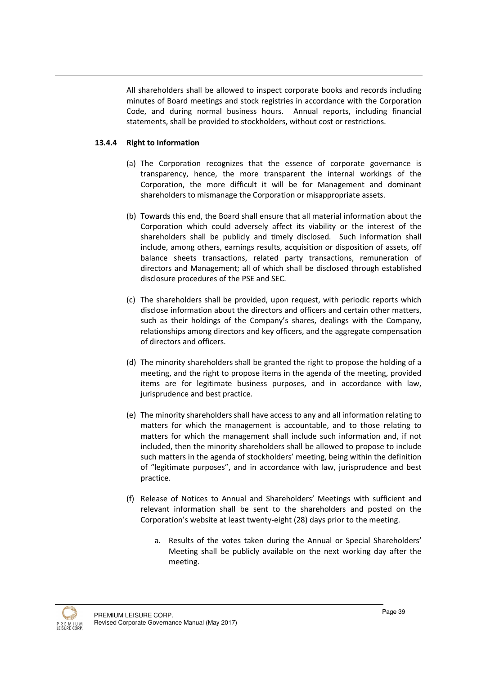All shareholders shall be allowed to inspect corporate books and records including minutes of Board meetings and stock registries in accordance with the Corporation Code, and during normal business hours. Annual reports, including financial statements, shall be provided to stockholders, without cost or restrictions.

# 13.4.4 Right to Information

- (a) The Corporation recognizes that the essence of corporate governance is transparency, hence, the more transparent the internal workings of the Corporation, the more difficult it will be for Management and dominant shareholders to mismanage the Corporation or misappropriate assets.
- (b) Towards this end, the Board shall ensure that all material information about the Corporation which could adversely affect its viability or the interest of the shareholders shall be publicly and timely disclosed. Such information shall include, among others, earnings results, acquisition or disposition of assets, off balance sheets transactions, related party transactions, remuneration of directors and Management; all of which shall be disclosed through established disclosure procedures of the PSE and SEC.
- (c) The shareholders shall be provided, upon request, with periodic reports which disclose information about the directors and officers and certain other matters, such as their holdings of the Company's shares, dealings with the Company, relationships among directors and key officers, and the aggregate compensation of directors and officers.
- (d) The minority shareholders shall be granted the right to propose the holding of a meeting, and the right to propose items in the agenda of the meeting, provided items are for legitimate business purposes, and in accordance with law, jurisprudence and best practice.
- (e) The minority shareholders shall have access to any and all information relating to matters for which the management is accountable, and to those relating to matters for which the management shall include such information and, if not included, then the minority shareholders shall be allowed to propose to include such matters in the agenda of stockholders' meeting, being within the definition of "legitimate purposes", and in accordance with law, jurisprudence and best practice.
- (f) Release of Notices to Annual and Shareholders' Meetings with sufficient and relevant information shall be sent to the shareholders and posted on the Corporation's website at least twenty-eight (28) days prior to the meeting.
	- a. Results of the votes taken during the Annual or Special Shareholders' Meeting shall be publicly available on the next working day after the meeting.

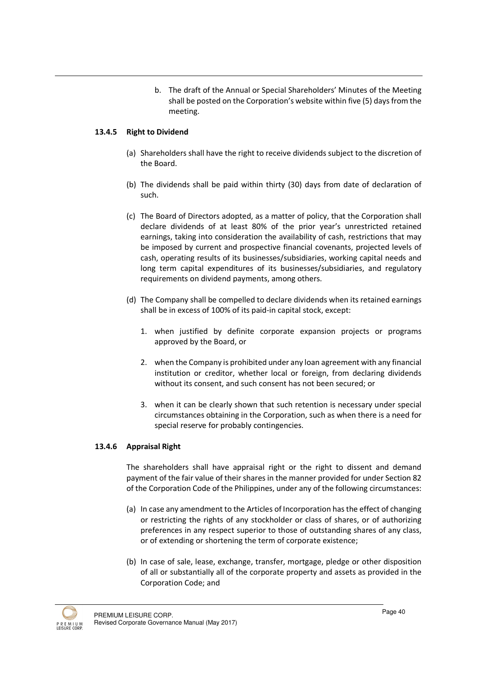b. The draft of the Annual or Special Shareholders' Minutes of the Meeting shall be posted on the Corporation's website within five (5) days from the meeting.

#### 13.4.5 Right to Dividend

- (a) Shareholders shall have the right to receive dividends subject to the discretion of the Board.
- (b) The dividends shall be paid within thirty (30) days from date of declaration of such.
- (c) The Board of Directors adopted, as a matter of policy, that the Corporation shall declare dividends of at least 80% of the prior year's unrestricted retained earnings, taking into consideration the availability of cash, restrictions that may be imposed by current and prospective financial covenants, projected levels of cash, operating results of its businesses/subsidiaries, working capital needs and long term capital expenditures of its businesses/subsidiaries, and regulatory requirements on dividend payments, among others.
- (d) The Company shall be compelled to declare dividends when its retained earnings shall be in excess of 100% of its paid-in capital stock, except:
	- 1. when justified by definite corporate expansion projects or programs approved by the Board, or
	- 2. when the Company is prohibited under any loan agreement with any financial institution or creditor, whether local or foreign, from declaring dividends without its consent, and such consent has not been secured; or
	- 3. when it can be clearly shown that such retention is necessary under special circumstances obtaining in the Corporation, such as when there is a need for special reserve for probably contingencies.

#### 13.4.6 Appraisal Right

The shareholders shall have appraisal right or the right to dissent and demand payment of the fair value of their shares in the manner provided for under Section 82 of the Corporation Code of the Philippines, under any of the following circumstances:

- (a) In case any amendment to the Articles of Incorporation has the effect of changing or restricting the rights of any stockholder or class of shares, or of authorizing preferences in any respect superior to those of outstanding shares of any class, or of extending or shortening the term of corporate existence;
- (b) In case of sale, lease, exchange, transfer, mortgage, pledge or other disposition of all or substantially all of the corporate property and assets as provided in the Corporation Code; and

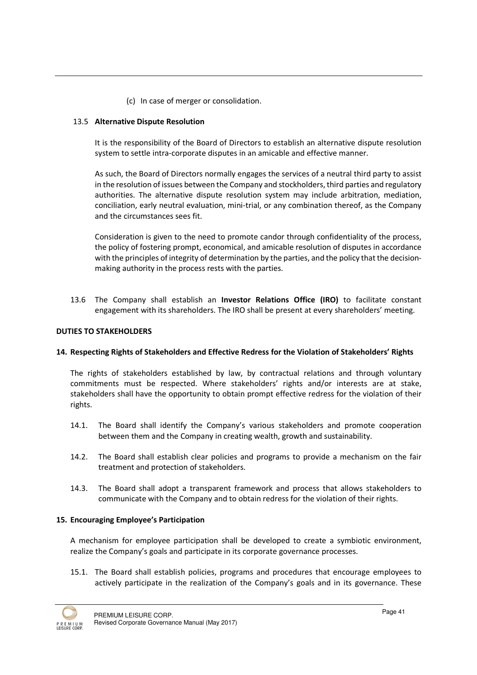(c) In case of merger or consolidation.

# 13.5 Alternative Dispute Resolution

It is the responsibility of the Board of Directors to establish an alternative dispute resolution system to settle intra-corporate disputes in an amicable and effective manner.

As such, the Board of Directors normally engages the services of a neutral third party to assist in the resolution of issues between the Company and stockholders, third parties and regulatory authorities. The alternative dispute resolution system may include arbitration, mediation, conciliation, early neutral evaluation, mini-trial, or any combination thereof, as the Company and the circumstances sees fit.

Consideration is given to the need to promote candor through confidentiality of the process, the policy of fostering prompt, economical, and amicable resolution of disputes in accordance with the principles of integrity of determination by the parties, and the policy that the decisionmaking authority in the process rests with the parties.

13.6 The Company shall establish an Investor Relations Office (IRO) to facilitate constant engagement with its shareholders. The IRO shall be present at every shareholders' meeting.

# DUTIES TO STAKEHOLDERS

# 14. Respecting Rights of Stakeholders and Effective Redress for the Violation of Stakeholders' Rights

The rights of stakeholders established by law, by contractual relations and through voluntary commitments must be respected. Where stakeholders' rights and/or interests are at stake, stakeholders shall have the opportunity to obtain prompt effective redress for the violation of their rights.

- 14.1. The Board shall identify the Company's various stakeholders and promote cooperation between them and the Company in creating wealth, growth and sustainability.
- 14.2. The Board shall establish clear policies and programs to provide a mechanism on the fair treatment and protection of stakeholders.
- 14.3. The Board shall adopt a transparent framework and process that allows stakeholders to communicate with the Company and to obtain redress for the violation of their rights.

#### 15. Encouraging Employee's Participation

A mechanism for employee participation shall be developed to create a symbiotic environment, realize the Company's goals and participate in its corporate governance processes.

15.1. The Board shall establish policies, programs and procedures that encourage employees to actively participate in the realization of the Company's goals and in its governance. These

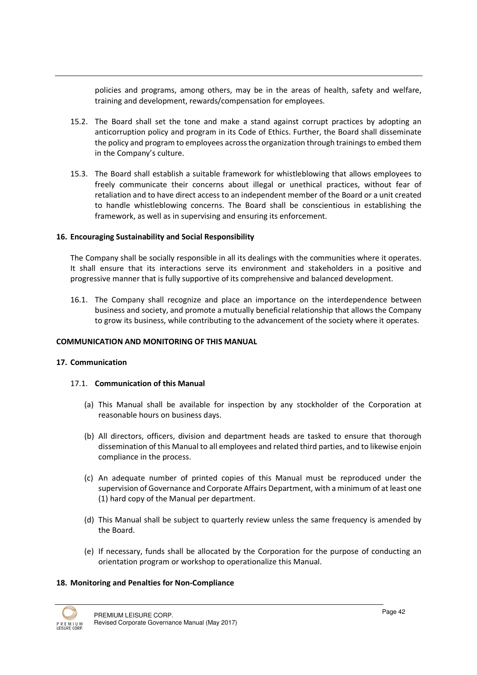policies and programs, among others, may be in the areas of health, safety and welfare, training and development, rewards/compensation for employees.

- 15.2. The Board shall set the tone and make a stand against corrupt practices by adopting an anticorruption policy and program in its Code of Ethics. Further, the Board shall disseminate the policy and program to employees across the organization through trainings to embed them in the Company's culture.
- 15.3. The Board shall establish a suitable framework for whistleblowing that allows employees to freely communicate their concerns about illegal or unethical practices, without fear of retaliation and to have direct access to an independent member of the Board or a unit created to handle whistleblowing concerns. The Board shall be conscientious in establishing the framework, as well as in supervising and ensuring its enforcement.

#### 16. Encouraging Sustainability and Social Responsibility

The Company shall be socially responsible in all its dealings with the communities where it operates. It shall ensure that its interactions serve its environment and stakeholders in a positive and progressive manner that is fully supportive of its comprehensive and balanced development.

16.1. The Company shall recognize and place an importance on the interdependence between business and society, and promote a mutually beneficial relationship that allows the Company to grow its business, while contributing to the advancement of the society where it operates.

#### COMMUNICATION AND MONITORING OF THIS MANUAL

#### 17. Communication

# 17.1. Communication of this Manual

- (a) This Manual shall be available for inspection by any stockholder of the Corporation at reasonable hours on business days.
- (b) All directors, officers, division and department heads are tasked to ensure that thorough dissemination of this Manual to all employees and related third parties, and to likewise enjoin compliance in the process.
- (c) An adequate number of printed copies of this Manual must be reproduced under the supervision of Governance and Corporate Affairs Department, with a minimum of at least one (1) hard copy of the Manual per department.
- (d) This Manual shall be subject to quarterly review unless the same frequency is amended by the Board.
- (e) If necessary, funds shall be allocated by the Corporation for the purpose of conducting an orientation program or workshop to operationalize this Manual.

#### 18. Monitoring and Penalties for Non-Compliance

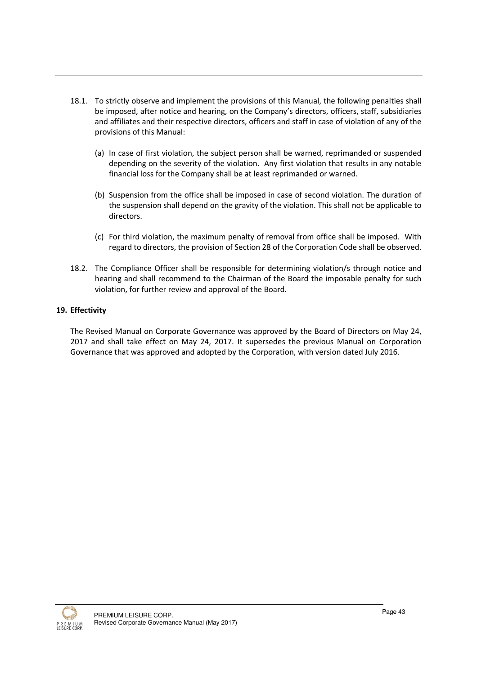- 18.1. To strictly observe and implement the provisions of this Manual, the following penalties shall be imposed, after notice and hearing, on the Company's directors, officers, staff, subsidiaries and affiliates and their respective directors, officers and staff in case of violation of any of the provisions of this Manual:
	- (a) In case of first violation, the subject person shall be warned, reprimanded or suspended depending on the severity of the violation. Any first violation that results in any notable financial loss for the Company shall be at least reprimanded or warned.
	- (b) Suspension from the office shall be imposed in case of second violation. The duration of the suspension shall depend on the gravity of the violation. This shall not be applicable to directors.
	- (c) For third violation, the maximum penalty of removal from office shall be imposed. With regard to directors, the provision of Section 28 of the Corporation Code shall be observed.
- 18.2. The Compliance Officer shall be responsible for determining violation/s through notice and hearing and shall recommend to the Chairman of the Board the imposable penalty for such violation, for further review and approval of the Board.

# 19. Effectivity

The Revised Manual on Corporate Governance was approved by the Board of Directors on May 24, 2017 and shall take effect on May 24, 2017. It supersedes the previous Manual on Corporation Governance that was approved and adopted by the Corporation, with version dated July 2016.